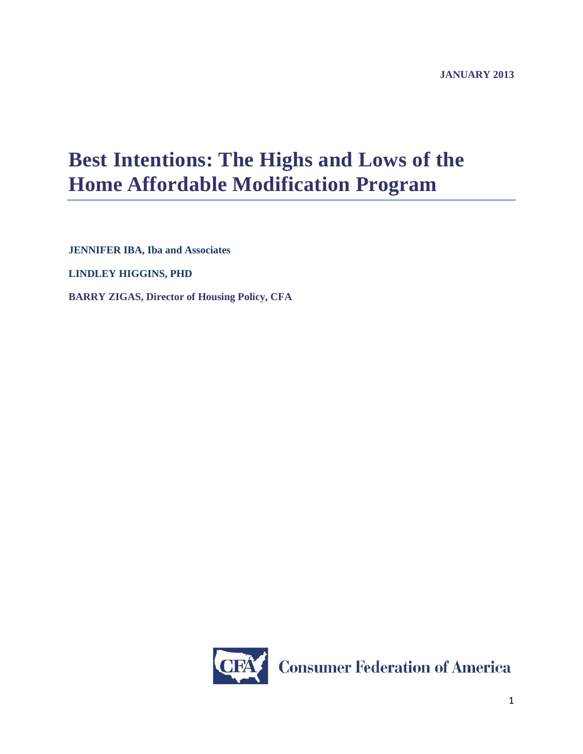# **Best Intentions: The Highs and Lows of the Home Affordable Modification Program**

**JENNIFER IBA, Iba and Associates**

**LINDLEY HIGGINS, PHD**

**BARRY ZIGAS, Director of Housing Policy, CFA**

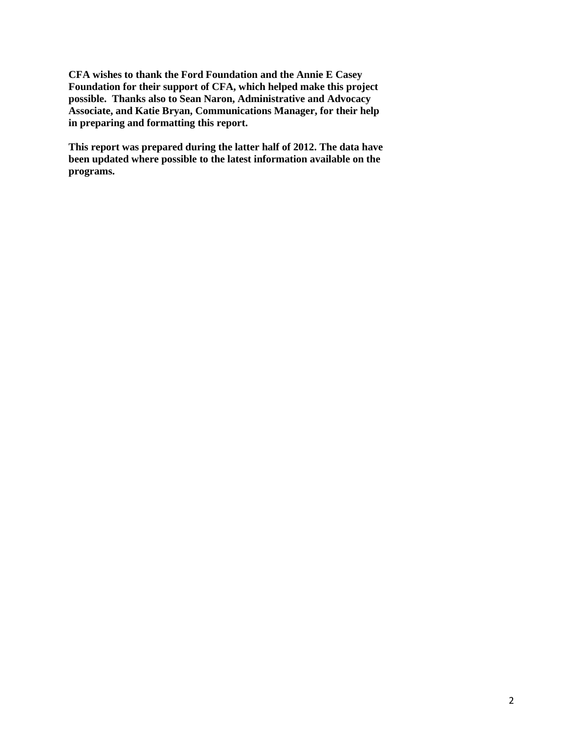**CFA wishes to thank the Ford Foundation and the Annie E Casey Foundation for their support of CFA, which helped make this project possible. Thanks also to Sean Naron, Administrative and Advocacy Associate, and Katie Bryan, Communications Manager, for their help in preparing and formatting this report.**

**This report was prepared during the latter half of 2012. The data have been updated where possible to the latest information available on the programs.**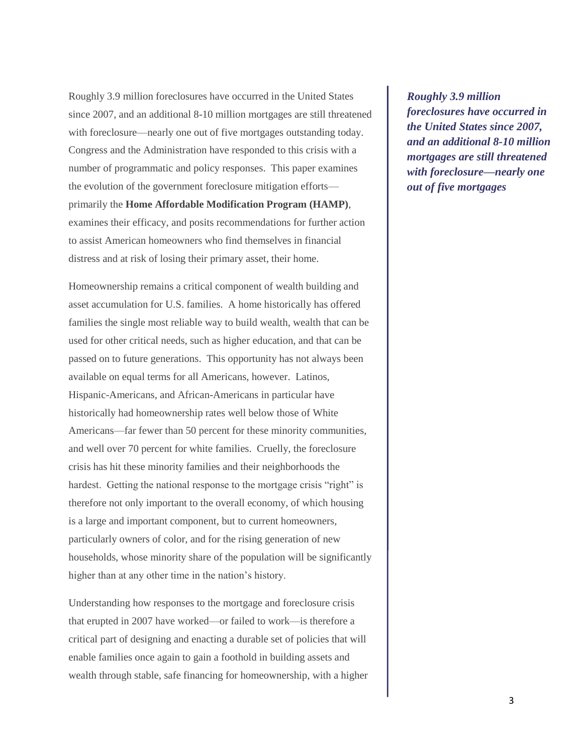Roughly 3.9 million foreclosures have occurred in the United States since 2007, and an additional 8-10 million mortgages are still threatened with foreclosure—nearly one out of five mortgages outstanding today. Congress and the Administration have responded to this crisis with a number of programmatic and policy responses. This paper examines the evolution of the government foreclosure mitigation efforts primarily the **Home Affordable Modification Program (HAMP)**, examines their efficacy, and posits recommendations for further action to assist American homeowners who find themselves in financial distress and at risk of losing their primary asset, their home.

Homeownership remains a critical component of wealth building and asset accumulation for U.S. families. A home historically has offered families the single most reliable way to build wealth, wealth that can be used for other critical needs, such as higher education, and that can be passed on to future generations. This opportunity has not always been available on equal terms for all Americans, however. Latinos, Hispanic-Americans, and African-Americans in particular have historically had homeownership rates well below those of White Americans—far fewer than 50 percent for these minority communities, and well over 70 percent for white families. Cruelly, the foreclosure crisis has hit these minority families and their neighborhoods the hardest. Getting the national response to the mortgage crisis "right" is therefore not only important to the overall economy, of which housing is a large and important component, but to current homeowners, particularly owners of color, and for the rising generation of new households, whose minority share of the population will be significantly higher than at any other time in the nation's history.

Understanding how responses to the mortgage and foreclosure crisis that erupted in 2007 have worked—or failed to work—is therefore a critical part of designing and enacting a durable set of policies that will enable families once again to gain a foothold in building assets and wealth through stable, safe financing for homeownership, with a higher

*Roughly 3.9 million foreclosures have occurred in the United States since 2007, and an additional 8-10 million mortgages are still threatened with foreclosure—nearly one out of five mortgages*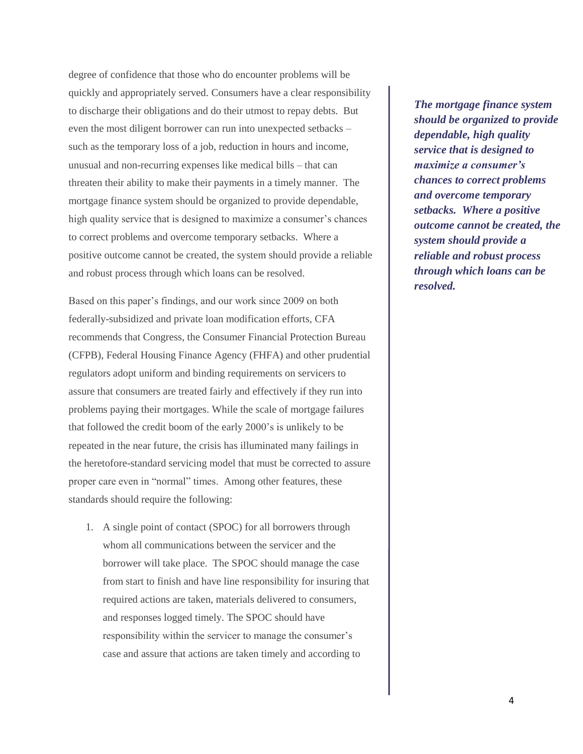degree of confidence that those who do encounter problems will be quickly and appropriately served. Consumers have a clear responsibility to discharge their obligations and do their utmost to repay debts. But even the most diligent borrower can run into unexpected setbacks – such as the temporary loss of a job, reduction in hours and income, unusual and non-recurring expenses like medical bills – that can threaten their ability to make their payments in a timely manner. The mortgage finance system should be organized to provide dependable, high quality service that is designed to maximize a consumer's chances to correct problems and overcome temporary setbacks. Where a positive outcome cannot be created, the system should provide a reliable and robust process through which loans can be resolved.

Based on this paper's findings, and our work since 2009 on both federally-subsidized and private loan modification efforts, CFA recommends that Congress, the Consumer Financial Protection Bureau (CFPB), Federal Housing Finance Agency (FHFA) and other prudential regulators adopt uniform and binding requirements on servicers to assure that consumers are treated fairly and effectively if they run into problems paying their mortgages. While the scale of mortgage failures that followed the credit boom of the early 2000's is unlikely to be repeated in the near future, the crisis has illuminated many failings in the heretofore-standard servicing model that must be corrected to assure proper care even in "normal" times. Among other features, these standards should require the following:

1. A single point of contact (SPOC) for all borrowers through whom all communications between the servicer and the borrower will take place. The SPOC should manage the case from start to finish and have line responsibility for insuring that required actions are taken, materials delivered to consumers, and responses logged timely. The SPOC should have responsibility within the servicer to manage the consumer's case and assure that actions are taken timely and according to

*The mortgage finance system should be organized to provide dependable, high quality service that is designed to maximize a consumer's chances to correct problems and overcome temporary setbacks. Where a positive outcome cannot be created, the system should provide a reliable and robust process through which loans can be resolved.*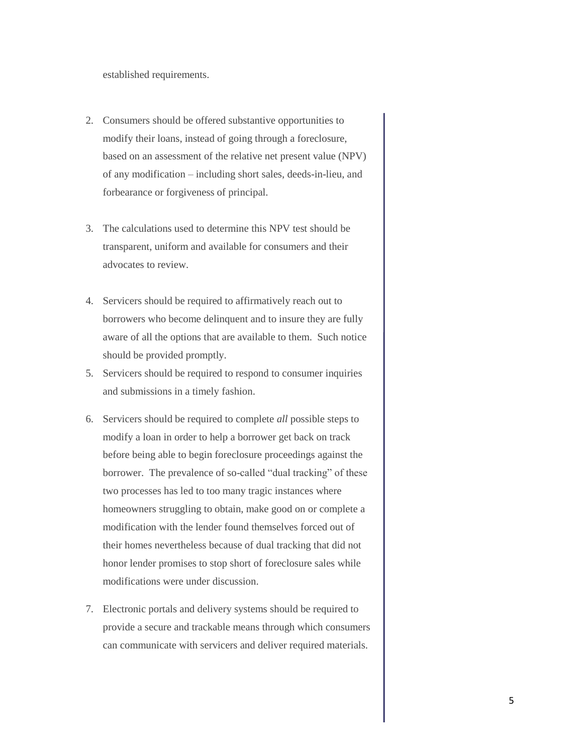established requirements.

- 2. Consumers should be offered substantive opportunities to modify their loans, instead of going through a foreclosure, based on an assessment of the relative net present value (NPV) of any modification – including short sales, deeds-in-lieu, and forbearance or forgiveness of principal.
- 3. The calculations used to determine this NPV test should be transparent, uniform and available for consumers and their advocates to review.
- 4. Servicers should be required to affirmatively reach out to borrowers who become delinquent and to insure they are fully aware of all the options that are available to them. Such notice should be provided promptly.
- 5. Servicers should be required to respond to consumer inquiries and submissions in a timely fashion.
- 6. Servicers should be required to complete *all* possible steps to modify a loan in order to help a borrower get back on track before being able to begin foreclosure proceedings against the borrower. The prevalence of so-called "dual tracking" of these two processes has led to too many tragic instances where homeowners struggling to obtain, make good on or complete a modification with the lender found themselves forced out of their homes nevertheless because of dual tracking that did not honor lender promises to stop short of foreclosure sales while modifications were under discussion.
- 7. Electronic portals and delivery systems should be required to provide a secure and trackable means through which consumers can communicate with servicers and deliver required materials.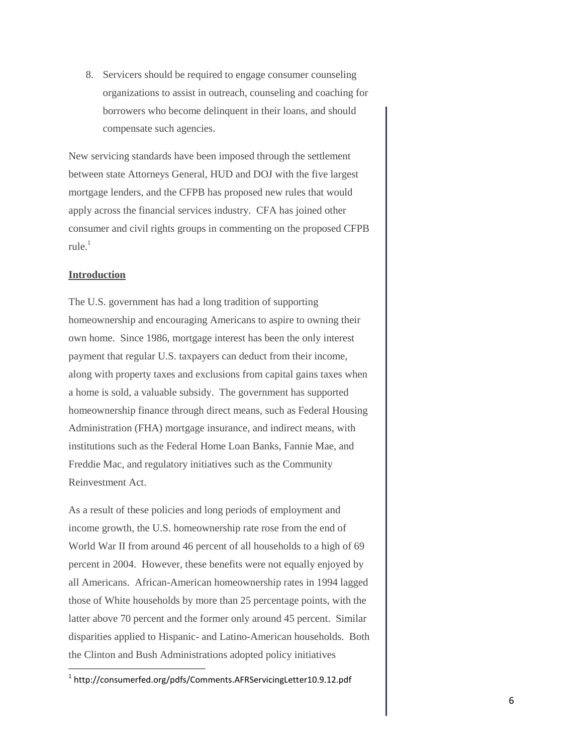8. Servicers should be required to engage consumer counseling organizations to assist in outreach, counseling and coaching for borrowers who become delinquent in their loans, and should compensate such agencies.

New servicing standards have been imposed through the settlement between state Attorneys General, HUD and DOJ with the five largest mortgage lenders, and the CFPB has proposed new rules that would apply across the financial services industry. CFA has joined other consumer and civil rights groups in commenting on the proposed CFPB  $rule.1$ <sup>1</sup>

#### **Introduction**

 $\overline{\phantom{a}}$ 

The U.S. government has had a long tradition of supporting homeownership and encouraging Americans to aspire to owning their own home. Since 1986, mortgage interest has been the only interest payment that regular U.S. taxpayers can deduct from their income, along with property taxes and exclusions from capital gains taxes when a home is sold, a valuable subsidy. The government has supported homeownership finance through direct means, such as Federal Housing Administration (FHA) mortgage insurance, and indirect means, with institutions such as the Federal Home Loan Banks, Fannie Mae, and Freddie Mac, and regulatory initiatives such as the Community Reinvestment Act.

As a result of these policies and long periods of employment and income growth, the U.S. homeownership rate rose from the end of World War II from around 46 percent of all households to a high of 69 percent in 2004. However, these benefits were not equally enjoyed by all Americans. African-American homeownership rates in 1994 lagged those of White households by more than 25 percentage points, with the latter above 70 percent and the former only around 45 percent. Similar disparities applied to Hispanic- and Latino-American households. Both the Clinton and Bush Administrations adopted policy initiatives

 $^{\rm 1}$  http://consumerfed.org/pdfs/Comments.AFRServicingLetter10.9.12.pdf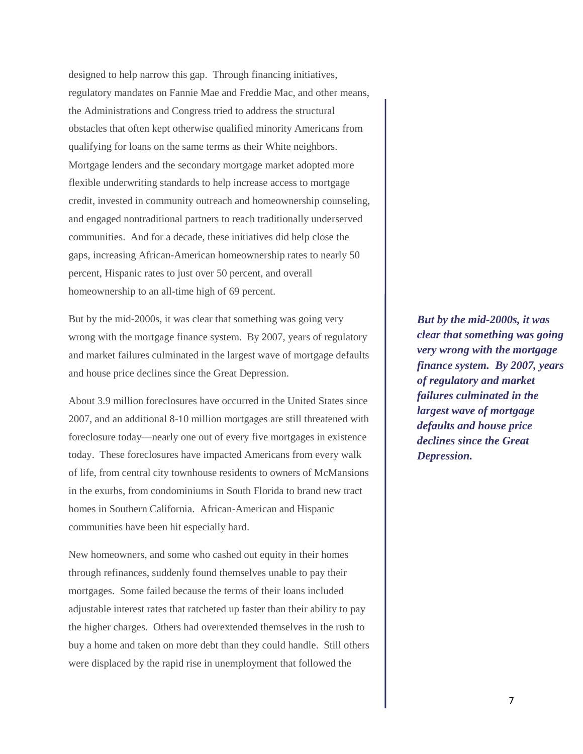designed to help narrow this gap. Through financing initiatives, regulatory mandates on Fannie Mae and Freddie Mac, and other means, the Administrations and Congress tried to address the structural obstacles that often kept otherwise qualified minority Americans from qualifying for loans on the same terms as their White neighbors. Mortgage lenders and the secondary mortgage market adopted more flexible underwriting standards to help increase access to mortgage credit, invested in community outreach and homeownership counseling, and engaged nontraditional partners to reach traditionally underserved communities. And for a decade, these initiatives did help close the gaps, increasing African-American homeownership rates to nearly 50 percent, Hispanic rates to just over 50 percent, and overall homeownership to an all-time high of 69 percent.

But by the mid-2000s, it was clear that something was going very wrong with the mortgage finance system. By 2007, years of regulatory and market failures culminated in the largest wave of mortgage defaults and house price declines since the Great Depression.

About 3.9 million foreclosures have occurred in the United States since 2007, and an additional 8-10 million mortgages are still threatened with foreclosure today—nearly one out of every five mortgages in existence today. These foreclosures have impacted Americans from every walk of life, from central city townhouse residents to owners of McMansions in the exurbs, from condominiums in South Florida to brand new tract homes in Southern California. African-American and Hispanic communities have been hit especially hard.

New homeowners, and some who cashed out equity in their homes through refinances, suddenly found themselves unable to pay their mortgages. Some failed because the terms of their loans included adjustable interest rates that ratcheted up faster than their ability to pay the higher charges. Others had overextended themselves in the rush to buy a home and taken on more debt than they could handle. Still others were displaced by the rapid rise in unemployment that followed the

*But by the mid-2000s, it was clear that something was going very wrong with the mortgage finance system. By 2007, years of regulatory and market failures culminated in the largest wave of mortgage defaults and house price declines since the Great Depression.*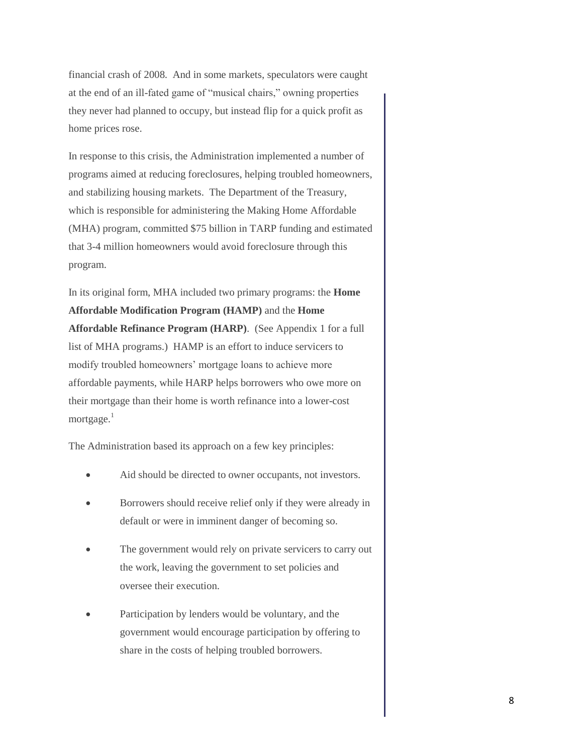financial crash of 2008. And in some markets, speculators were caught at the end of an ill-fated game of "musical chairs," owning properties they never had planned to occupy, but instead flip for a quick profit as home prices rose.

In response to this crisis, the Administration implemented a number of programs aimed at reducing foreclosures, helping troubled homeowners, and stabilizing housing markets. The Department of the Treasury, which is responsible for administering the Making Home Affordable (MHA) program, committed \$75 billion in TARP funding and estimated that 3-4 million homeowners would avoid foreclosure through this program.

In its original form, MHA included two primary programs: the **Home Affordable Modification Program (HAMP)** and the **Home Affordable Refinance Program (HARP)**. (See Appendix 1 for a full list of MHA programs.) HAMP is an effort to induce servicers to modify troubled homeowners' mortgage loans to achieve more affordable payments, while HARP helps borrowers who owe more on their mortgage than their home is worth refinance into a lower-cost mortgage. $1$ 

The Administration based its approach on a few key principles:

- Aid should be directed to owner occupants, not investors.
- Borrowers should receive relief only if they were already in default or were in imminent danger of becoming so.
- The government would rely on private servicers to carry out the work, leaving the government to set policies and oversee their execution.
- Participation by lenders would be voluntary, and the government would encourage participation by offering to share in the costs of helping troubled borrowers.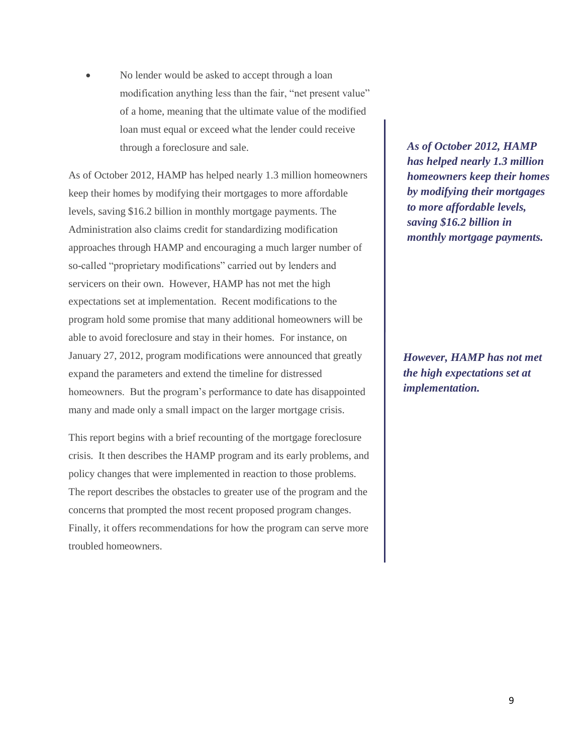No lender would be asked to accept through a loan modification anything less than the fair, "net present value" of a home, meaning that the ultimate value of the modified loan must equal or exceed what the lender could receive through a foreclosure and sale.

As of October 2012, HAMP has helped nearly 1.3 million homeowners keep their homes by modifying their mortgages to more affordable levels, saving \$16.2 billion in monthly mortgage payments. The Administration also claims credit for standardizing modification approaches through HAMP and encouraging a much larger number of so-called "proprietary modifications" carried out by lenders and servicers on their own. However, HAMP has not met the high expectations set at implementation. Recent modifications to the program hold some promise that many additional homeowners will be able to avoid foreclosure and stay in their homes. For instance, on January 27, 2012, program modifications were announced that greatly expand the parameters and extend the timeline for distressed homeowners. But the program's performance to date has disappointed many and made only a small impact on the larger mortgage crisis.

This report begins with a brief recounting of the mortgage foreclosure crisis. It then describes the HAMP program and its early problems, and policy changes that were implemented in reaction to those problems. The report describes the obstacles to greater use of the program and the concerns that prompted the most recent proposed program changes. Finally, it offers recommendations for how the program can serve more troubled homeowners.

*As of October 2012, HAMP has helped nearly 1.3 million homeowners keep their homes by modifying their mortgages to more affordable levels, saving \$16.2 billion in monthly mortgage payments.* 

*However, HAMP has not met the high expectations set at implementation.*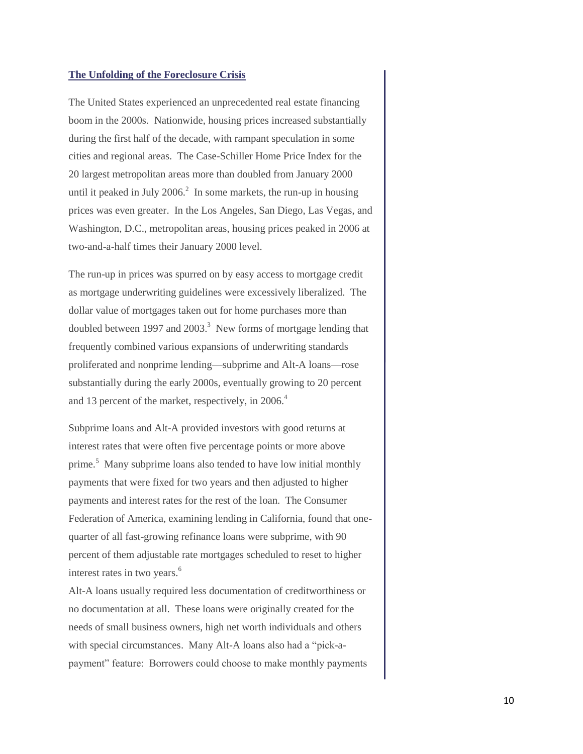#### **The Unfolding of the Foreclosure Crisis**

The United States experienced an unprecedented real estate financing boom in the 2000s. Nationwide, housing prices increased substantially during the first half of the decade, with rampant speculation in some cities and regional areas. The Case-Schiller Home Price Index for the 20 largest metropolitan areas more than doubled from January 2000 until it peaked in July 2006.<sup>2</sup> In some markets, the run-up in housing prices was even greater. In the Los Angeles, San Diego, Las Vegas, and Washington, D.C., metropolitan areas, housing prices peaked in 2006 at two-and-a-half times their January 2000 level.

The run-up in prices was spurred on by easy access to mortgage credit as mortgage underwriting guidelines were excessively liberalized. The dollar value of mortgages taken out for home purchases more than doubled between 1997 and 2003.<sup>3</sup> New forms of mortgage lending that frequently combined various expansions of underwriting standards proliferated and nonprime lending—subprime and Alt-A loans—rose substantially during the early 2000s, eventually growing to 20 percent and 13 percent of the market, respectively, in 2006.<sup>4</sup>

Subprime loans and Alt-A provided investors with good returns at interest rates that were often five percentage points or more above prime.<sup>5</sup> Many subprime loans also tended to have low initial monthly payments that were fixed for two years and then adjusted to higher payments and interest rates for the rest of the loan. The Consumer Federation of America, examining lending in California, found that onequarter of all fast-growing refinance loans were subprime, with 90 percent of them adjustable rate mortgages scheduled to reset to higher interest rates in two years.<sup>6</sup>

Alt-A loans usually required less documentation of creditworthiness or no documentation at all. These loans were originally created for the needs of small business owners, high net worth individuals and others with special circumstances. Many Alt-A loans also had a "pick-apayment" feature: Borrowers could choose to make monthly payments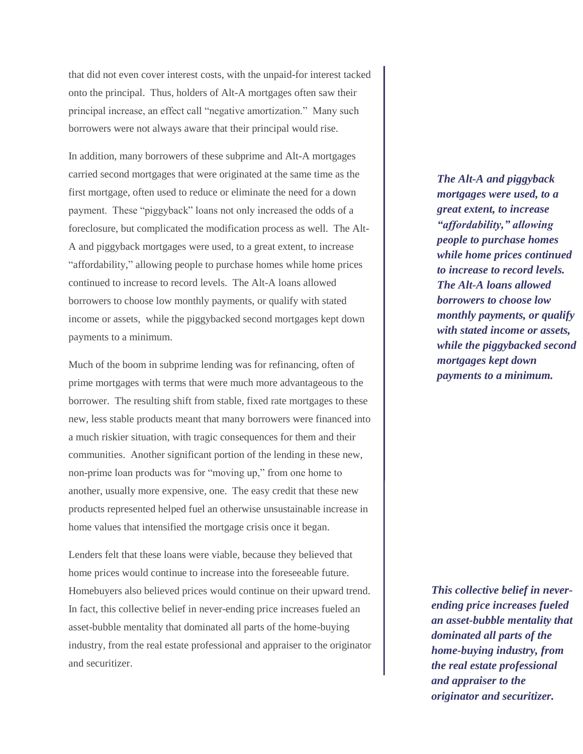that did not even cover interest costs, with the unpaid-for interest tacked onto the principal. Thus, holders of Alt-A mortgages often saw their principal increase, an effect call "negative amortization." Many such borrowers were not always aware that their principal would rise.

In addition, many borrowers of these subprime and Alt-A mortgages carried second mortgages that were originated at the same time as the first mortgage, often used to reduce or eliminate the need for a down payment. These "piggyback" loans not only increased the odds of a foreclosure, but complicated the modification process as well. The Alt-A and piggyback mortgages were used, to a great extent, to increase "affordability," allowing people to purchase homes while home prices continued to increase to record levels. The Alt-A loans allowed borrowers to choose low monthly payments, or qualify with stated income or assets, while the piggybacked second mortgages kept down payments to a minimum.

Much of the boom in subprime lending was for refinancing, often of prime mortgages with terms that were much more advantageous to the borrower. The resulting shift from stable, fixed rate mortgages to these new, less stable products meant that many borrowers were financed into a much riskier situation, with tragic consequences for them and their communities. Another significant portion of the lending in these new, non-prime loan products was for "moving up," from one home to another, usually more expensive, one. The easy credit that these new products represented helped fuel an otherwise unsustainable increase in home values that intensified the mortgage crisis once it began.

Lenders felt that these loans were viable, because they believed that home prices would continue to increase into the foreseeable future. Homebuyers also believed prices would continue on their upward trend. In fact, this collective belief in never-ending price increases fueled an asset-bubble mentality that dominated all parts of the home-buying industry, from the real estate professional and appraiser to the originator and securitizer.

*The Alt-A and piggyback mortgages were used, to a great extent, to increase "affordability," allowing people to purchase homes while home prices continued to increase to record levels. The Alt-A loans allowed borrowers to choose low monthly payments, or qualify with stated income or assets, while the piggybacked second mortgages kept down payments to a minimum.* 

11 *originator and securitizer.This collective belief in neverending price increases fueled an asset-bubble mentality that dominated all parts of the home-buying industry, from the real estate professional and appraiser to the*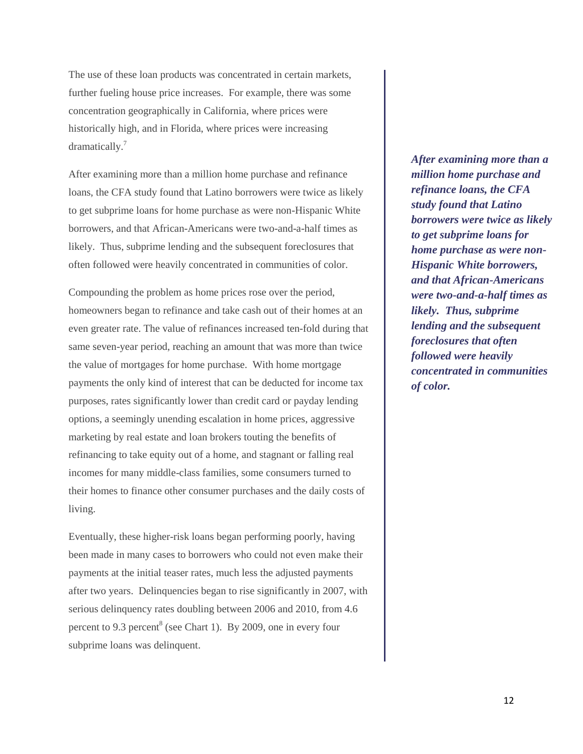The use of these loan products was concentrated in certain markets, further fueling house price increases. For example, there was some concentration geographically in California, where prices were historically high, and in Florida, where prices were increasing dramatically.<sup>7</sup>

After examining more than a million home purchase and refinance loans, the CFA study found that Latino borrowers were twice as likely to get subprime loans for home purchase as were non-Hispanic White borrowers, and that African-Americans were two-and-a-half times as likely. Thus, subprime lending and the subsequent foreclosures that often followed were heavily concentrated in communities of color.

Compounding the problem as home prices rose over the period, homeowners began to refinance and take cash out of their homes at an even greater rate. The value of refinances increased ten-fold during that same seven-year period, reaching an amount that was more than twice the value of mortgages for home purchase. With home mortgage payments the only kind of interest that can be deducted for income tax purposes, rates significantly lower than credit card or payday lending options, a seemingly unending escalation in home prices, aggressive marketing by real estate and loan brokers touting the benefits of refinancing to take equity out of a home, and stagnant or falling real incomes for many middle-class families, some consumers turned to their homes to finance other consumer purchases and the daily costs of living.

Eventually, these higher-risk loans began performing poorly, having been made in many cases to borrowers who could not even make their payments at the initial teaser rates, much less the adjusted payments after two years. Delinquencies began to rise significantly in 2007, with serious delinquency rates doubling between 2006 and 2010, from 4.6 percent to 9.3 percent<sup>8</sup> (see Chart 1). By 2009, one in every four subprime loans was delinquent.

*After examining more than a million home purchase and refinance loans, the CFA study found that Latino borrowers were twice as likely to get subprime loans for home purchase as were non-Hispanic White borrowers, and that African-Americans were two-and-a-half times as likely. Thus, subprime lending and the subsequent foreclosures that often followed were heavily concentrated in communities of color.*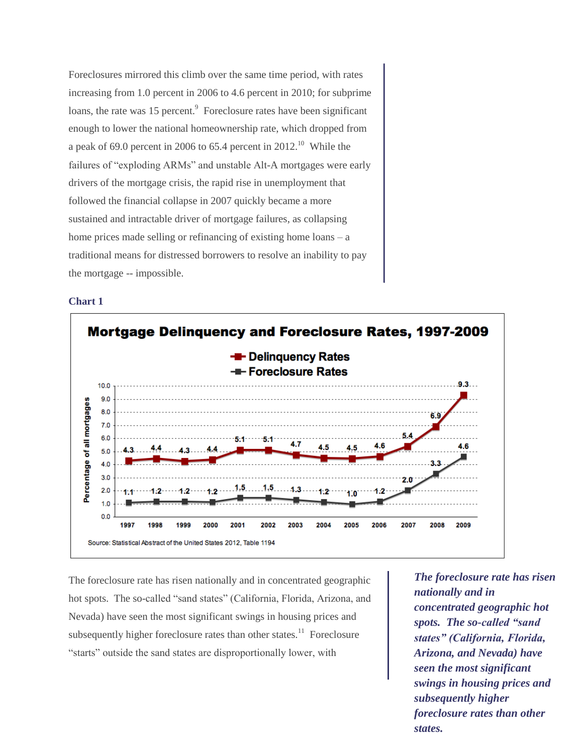Foreclosures mirrored this climb over the same time period, with rates increasing from 1.0 percent in 2006 to 4.6 percent in 2010; for subprime loans, the rate was 15 percent.<sup>9</sup> Foreclosure rates have been significant enough to lower the national homeownership rate, which dropped from a peak of 69.0 percent in 2006 to 65.4 percent in 2012.<sup>10</sup> While the failures of "exploding ARMs" and unstable Alt-A mortgages were early drivers of the mortgage crisis, the rapid rise in unemployment that followed the financial collapse in 2007 quickly became a more sustained and intractable driver of mortgage failures, as collapsing home prices made selling or refinancing of existing home loans – a traditional means for distressed borrowers to resolve an inability to pay the mortgage -- impossible.

#### **Chart 1**



The foreclosure rate has risen nationally and in concentrated geographic hot spots. The so-called "sand states" (California, Florida, Arizona, and Nevada) have seen the most significant swings in housing prices and subsequently higher foreclosure rates than other states.<sup>11</sup> Foreclosure "starts" outside the sand states are disproportionally lower, with

13 *subsequently higher The foreclosure rate has risen nationally and in concentrated geographic hot spots. The so-called "sand states" (California, Florida, Arizona, and Nevada) have seen the most significant swings in housing prices and foreclosure rates than other states.*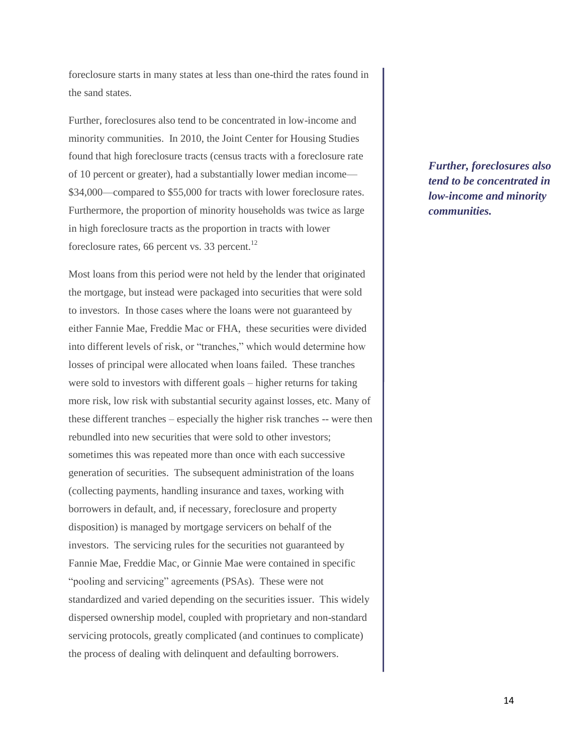foreclosure starts in many states at less than one-third the rates found in the sand states.

Further, foreclosures also tend to be concentrated in low-income and minority communities. In 2010, the Joint Center for Housing Studies found that high foreclosure tracts (census tracts with a foreclosure rate of 10 percent or greater), had a substantially lower median income— \$34,000—compared to \$55,000 for tracts with lower foreclosure rates. Furthermore, the proportion of minority households was twice as large in high foreclosure tracts as the proportion in tracts with lower foreclosure rates, 66 percent vs. 33 percent. $^{12}$ 

Most loans from this period were not held by the lender that originated the mortgage, but instead were packaged into securities that were sold to investors. In those cases where the loans were not guaranteed by either Fannie Mae, Freddie Mac or FHA, these securities were divided into different levels of risk, or "tranches," which would determine how losses of principal were allocated when loans failed. These tranches were sold to investors with different goals – higher returns for taking more risk, low risk with substantial security against losses, etc. Many of these different tranches – especially the higher risk tranches -- were then rebundled into new securities that were sold to other investors; sometimes this was repeated more than once with each successive generation of securities. The subsequent administration of the loans (collecting payments, handling insurance and taxes, working with borrowers in default, and, if necessary, foreclosure and property disposition) is managed by mortgage servicers on behalf of the investors. The servicing rules for the securities not guaranteed by Fannie Mae, Freddie Mac, or Ginnie Mae were contained in specific "pooling and servicing" agreements (PSAs). These were not standardized and varied depending on the securities issuer. This widely dispersed ownership model, coupled with proprietary and non-standard servicing protocols, greatly complicated (and continues to complicate) the process of dealing with delinquent and defaulting borrowers.

*Further, foreclosures also tend to be concentrated in low-income and minority communities.*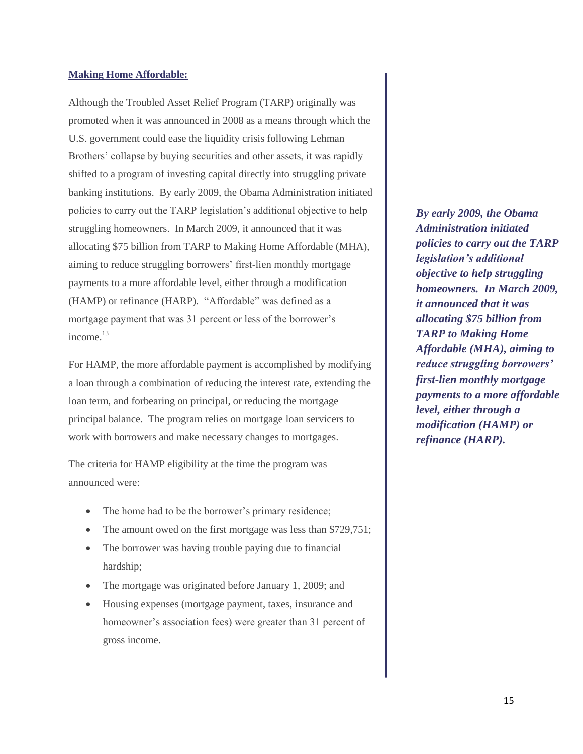#### **Making Home Affordable:**

Although the Troubled Asset Relief Program (TARP) originally was promoted when it was announced in 2008 as a means through which the U.S. government could ease the liquidity crisis following Lehman Brothers' collapse by buying securities and other assets, it was rapidly shifted to a program of investing capital directly into struggling private banking institutions. By early 2009, the Obama Administration initiated policies to carry out the TARP legislation's additional objective to help struggling homeowners. In March 2009, it announced that it was allocating \$75 billion from TARP to Making Home Affordable (MHA), aiming to reduce struggling borrowers' first-lien monthly mortgage payments to a more affordable level, either through a modification (HAMP) or refinance (HARP). "Affordable" was defined as a mortgage payment that was 31 percent or less of the borrower's income.<sup>13</sup>

For HAMP, the more affordable payment is accomplished by modifying a loan through a combination of reducing the interest rate, extending the loan term, and forbearing on principal, or reducing the mortgage principal balance. The program relies on mortgage loan servicers to work with borrowers and make necessary changes to mortgages.

The criteria for HAMP eligibility at the time the program was announced were:

- The home had to be the borrower's primary residence;
- The amount owed on the first mortgage was less than \$729,751;
- The borrower was having trouble paying due to financial hardship;
- The mortgage was originated before January 1, 2009; and
- Housing expenses (mortgage payment, taxes, insurance and homeowner's association fees) were greater than 31 percent of gross income.

*By early 2009, the Obama Administration initiated policies to carry out the TARP legislation's additional objective to help struggling homeowners. In March 2009, it announced that it was allocating \$75 billion from TARP to Making Home Affordable (MHA), aiming to reduce struggling borrowers' first-lien monthly mortgage payments to a more affordable level, either through a modification (HAMP) or refinance (HARP).*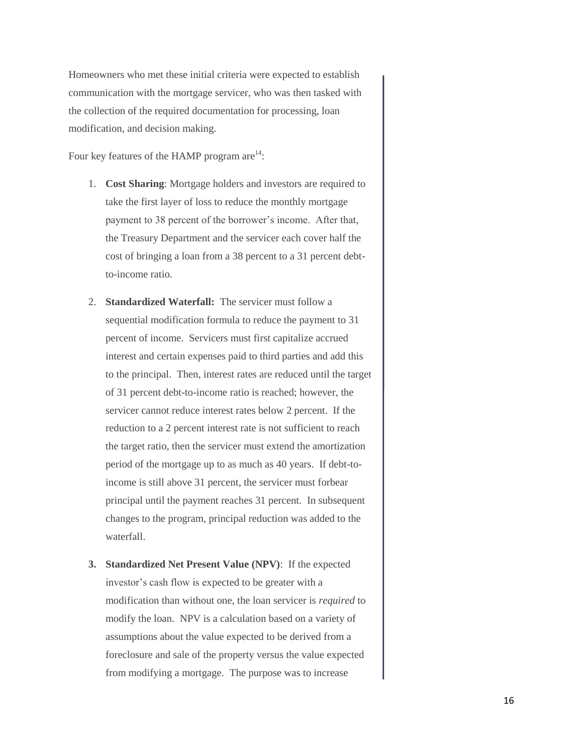Homeowners who met these initial criteria were expected to establish communication with the mortgage servicer, who was then tasked with the collection of the required documentation for processing, loan modification, and decision making.

Four key features of the HAMP program are $^{14}$ :

- 1. **Cost Sharing**: Mortgage holders and investors are required to take the first layer of loss to reduce the monthly mortgage payment to 38 percent of the borrower's income. After that, the Treasury Department and the servicer each cover half the cost of bringing a loan from a 38 percent to a 31 percent debtto-income ratio.
- 2. **Standardized Waterfall:** The servicer must follow a sequential modification formula to reduce the payment to 31 percent of income. Servicers must first capitalize accrued interest and certain expenses paid to third parties and add this to the principal. Then, interest rates are reduced until the target of 31 percent debt-to-income ratio is reached; however, the servicer cannot reduce interest rates below 2 percent. If the reduction to a 2 percent interest rate is not sufficient to reach the target ratio, then the servicer must extend the amortization period of the mortgage up to as much as 40 years. If debt-toincome is still above 31 percent, the servicer must forbear principal until the payment reaches 31 percent. In subsequent changes to the program, principal reduction was added to the waterfall.
- **3. Standardized Net Present Value (NPV)**: If the expected investor's cash flow is expected to be greater with a modification than without one, the loan servicer is *required* to modify the loan. NPV is a calculation based on a variety of assumptions about the value expected to be derived from a foreclosure and sale of the property versus the value expected from modifying a mortgage. The purpose was to increase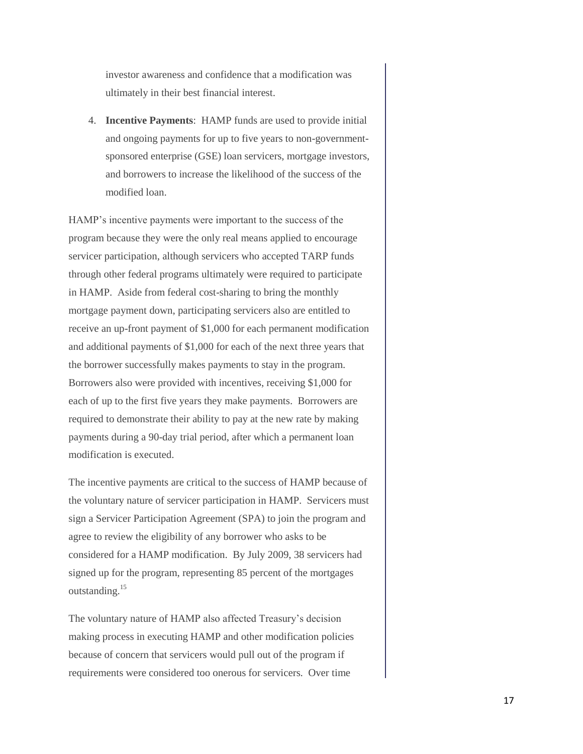investor awareness and confidence that a modification was ultimately in their best financial interest.

4. **Incentive Payments**: HAMP funds are used to provide initial and ongoing payments for up to five years to non-governmentsponsored enterprise (GSE) loan servicers, mortgage investors, and borrowers to increase the likelihood of the success of the modified loan.

HAMP's incentive payments were important to the success of the program because they were the only real means applied to encourage servicer participation, although servicers who accepted TARP funds through other federal programs ultimately were required to participate in HAMP. Aside from federal cost-sharing to bring the monthly mortgage payment down, participating servicers also are entitled to receive an up-front payment of \$1,000 for each permanent modification and additional payments of \$1,000 for each of the next three years that the borrower successfully makes payments to stay in the program. Borrowers also were provided with incentives, receiving \$1,000 for each of up to the first five years they make payments. Borrowers are required to demonstrate their ability to pay at the new rate by making payments during a 90-day trial period, after which a permanent loan modification is executed.

The incentive payments are critical to the success of HAMP because of the voluntary nature of servicer participation in HAMP. Servicers must sign a Servicer Participation Agreement (SPA) to join the program and agree to review the eligibility of any borrower who asks to be considered for a HAMP modification. By July 2009, 38 servicers had signed up for the program, representing 85 percent of the mortgages outstanding.<sup>15</sup>

The voluntary nature of HAMP also affected Treasury's decision making process in executing HAMP and other modification policies because of concern that servicers would pull out of the program if requirements were considered too onerous for servicers. Over time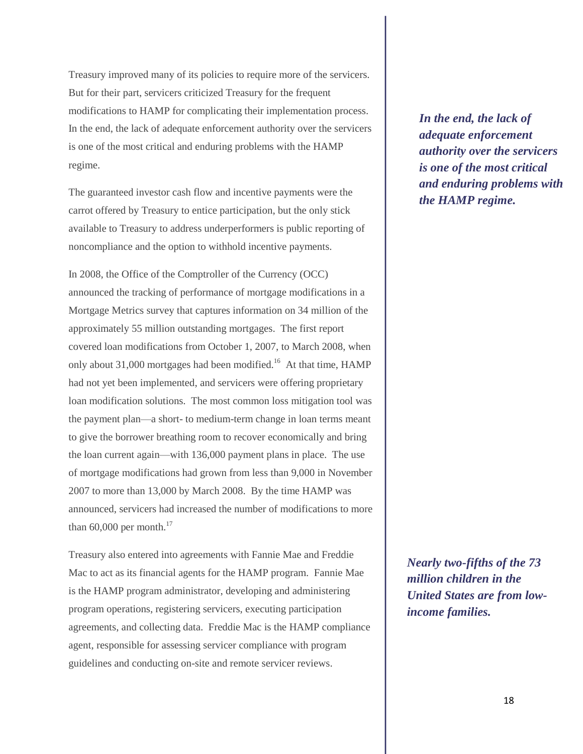Treasury improved many of its policies to require more of the servicers. But for their part, servicers criticized Treasury for the frequent modifications to HAMP for complicating their implementation process. In the end, the lack of adequate enforcement authority over the servicers is one of the most critical and enduring problems with the HAMP regime.

The guaranteed investor cash flow and incentive payments were the carrot offered by Treasury to entice participation, but the only stick available to Treasury to address underperformers is public reporting of noncompliance and the option to withhold incentive payments.

In 2008, the Office of the Comptroller of the Currency (OCC) announced the tracking of performance of mortgage modifications in a Mortgage Metrics survey that captures information on 34 million of the approximately 55 million outstanding mortgages. The first report covered loan modifications from October 1, 2007, to March 2008, when only about 31,000 mortgages had been modified.<sup>16</sup> At that time,  $HAMP$ had not yet been implemented, and servicers were offering proprietary loan modification solutions. The most common loss mitigation tool was the payment plan—a short- to medium-term change in loan terms meant to give the borrower breathing room to recover economically and bring the loan current again—with 136,000 payment plans in place. The use of mortgage modifications had grown from less than 9,000 in November 2007 to more than 13,000 by March 2008. By the time HAMP was announced, servicers had increased the number of modifications to more than  $60,000$  per month.<sup>17</sup>

Treasury also entered into agreements with Fannie Mae and Freddie Mac to act as its financial agents for the HAMP program. Fannie Mae is the HAMP program administrator, developing and administering program operations, registering servicers, executing participation agreements, and collecting data. Freddie Mac is the HAMP compliance agent, responsible for assessing servicer compliance with program guidelines and conducting on-site and remote servicer reviews.

*In the end, the lack of adequate enforcement authority over the servicers is one of the most critical and enduring problems with the HAMP regime.*

*Nearly two-fifths of the 73 million children in the United States are from lowincome families.*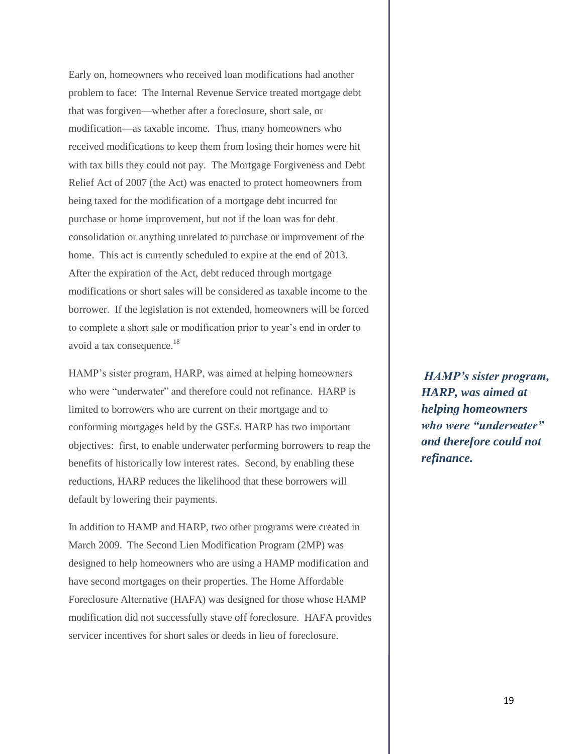Early on, homeowners who received loan modifications had another problem to face: The Internal Revenue Service treated mortgage debt that was forgiven—whether after a foreclosure, short sale, or modification—as taxable income. Thus, many homeowners who received modifications to keep them from losing their homes were hit with tax bills they could not pay. The Mortgage Forgiveness and Debt Relief Act of 2007 (the Act) was enacted to protect homeowners from being taxed for the modification of a mortgage debt incurred for purchase or home improvement, but not if the loan was for debt consolidation or anything unrelated to purchase or improvement of the home. This act is currently scheduled to expire at the end of 2013. After the expiration of the Act, debt reduced through mortgage modifications or short sales will be considered as taxable income to the borrower. If the legislation is not extended, homeowners will be forced to complete a short sale or modification prior to year's end in order to avoid a tax consequence.<sup>18</sup>

HAMP's sister program, HARP, was aimed at helping homeowners who were "underwater" and therefore could not refinance. HARP is limited to borrowers who are current on their mortgage and to conforming mortgages held by the GSEs. HARP has two important objectives: first, to enable underwater performing borrowers to reap the benefits of historically low interest rates. Second, by enabling these reductions, HARP reduces the likelihood that these borrowers will default by lowering their payments.

In addition to HAMP and HARP, two other programs were created in March 2009. The Second Lien Modification Program (2MP) was designed to help homeowners who are using a HAMP modification and have second mortgages on their properties. The Home Affordable Foreclosure Alternative (HAFA) was designed for those whose HAMP modification did not successfully stave off foreclosure. HAFA provides servicer incentives for short sales or deeds in lieu of foreclosure.

*HAMP's sister program, HARP, was aimed at helping homeowners who were "underwater" and therefore could not refinance.*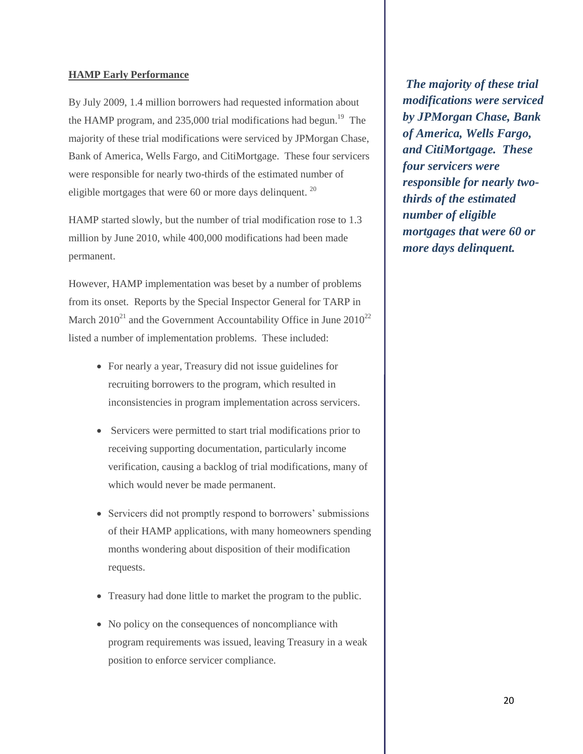#### **HAMP Early Performance**

By July 2009, 1.4 million borrowers had requested information about the HAMP program, and  $235,000$  trial modifications had begun.<sup>19</sup> The majority of these trial modifications were serviced by JPMorgan Chase, Bank of America, Wells Fargo, and CitiMortgage. These four servicers were responsible for nearly two-thirds of the estimated number of eligible mortgages that were 60 or more days delinquent.  $20$ 

HAMP started slowly, but the number of trial modification rose to 1.3 million by June 2010, while 400,000 modifications had been made permanent.

However, HAMP implementation was beset by a number of problems from its onset. Reports by the Special Inspector General for TARP in March  $2010^{21}$  and the Government Accountability Office in June  $2010^{22}$ listed a number of implementation problems. These included:

- For nearly a year, Treasury did not issue guidelines for recruiting borrowers to the program, which resulted in inconsistencies in program implementation across servicers.
- Servicers were permitted to start trial modifications prior to receiving supporting documentation, particularly income verification, causing a backlog of trial modifications, many of which would never be made permanent.
- Servicers did not promptly respond to borrowers' submissions of their HAMP applications, with many homeowners spending months wondering about disposition of their modification requests.
- Treasury had done little to market the program to the public.
- No policy on the consequences of noncompliance with program requirements was issued, leaving Treasury in a weak position to enforce servicer compliance.

*The majority of these trial modifications were serviced by JPMorgan Chase, Bank of America, Wells Fargo, and CitiMortgage. These four servicers were responsible for nearly twothirds of the estimated number of eligible mortgages that were 60 or more days delinquent.*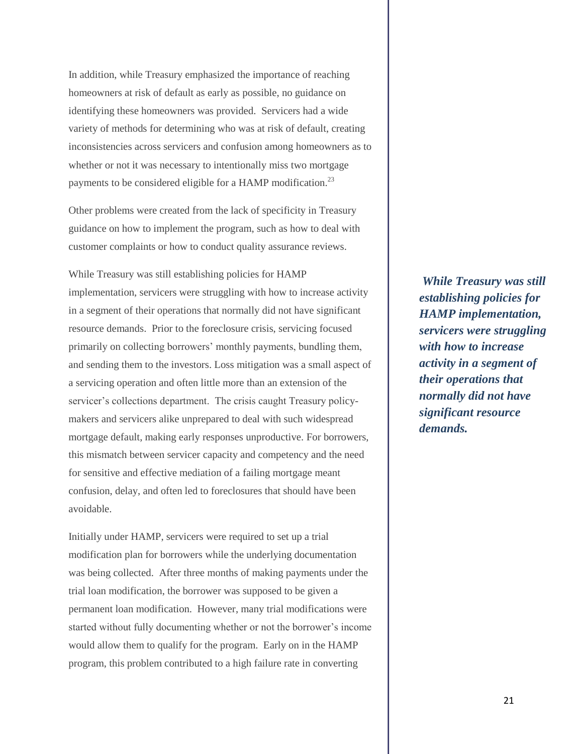In addition, while Treasury emphasized the importance of reaching homeowners at risk of default as early as possible, no guidance on identifying these homeowners was provided. Servicers had a wide variety of methods for determining who was at risk of default, creating inconsistencies across servicers and confusion among homeowners as to whether or not it was necessary to intentionally miss two mortgage payments to be considered eligible for a HAMP modification.<sup>23</sup>

Other problems were created from the lack of specificity in Treasury guidance on how to implement the program, such as how to deal with customer complaints or how to conduct quality assurance reviews.

While Treasury was still establishing policies for HAMP implementation, servicers were struggling with how to increase activity in a segment of their operations that normally did not have significant resource demands. Prior to the foreclosure crisis, servicing focused primarily on collecting borrowers' monthly payments, bundling them, and sending them to the investors. Loss mitigation was a small aspect of a servicing operation and often little more than an extension of the servicer's collections department. The crisis caught Treasury policymakers and servicers alike unprepared to deal with such widespread mortgage default, making early responses unproductive. For borrowers, this mismatch between servicer capacity and competency and the need for sensitive and effective mediation of a failing mortgage meant confusion, delay, and often led to foreclosures that should have been avoidable.

Initially under HAMP, servicers were required to set up a trial modification plan for borrowers while the underlying documentation was being collected. After three months of making payments under the trial loan modification, the borrower was supposed to be given a permanent loan modification. However, many trial modifications were started without fully documenting whether or not the borrower's income would allow them to qualify for the program. Early on in the HAMP program, this problem contributed to a high failure rate in converting

*While Treasury was still establishing policies for HAMP implementation, servicers were struggling with how to increase activity in a segment of their operations that normally did not have significant resource demands.*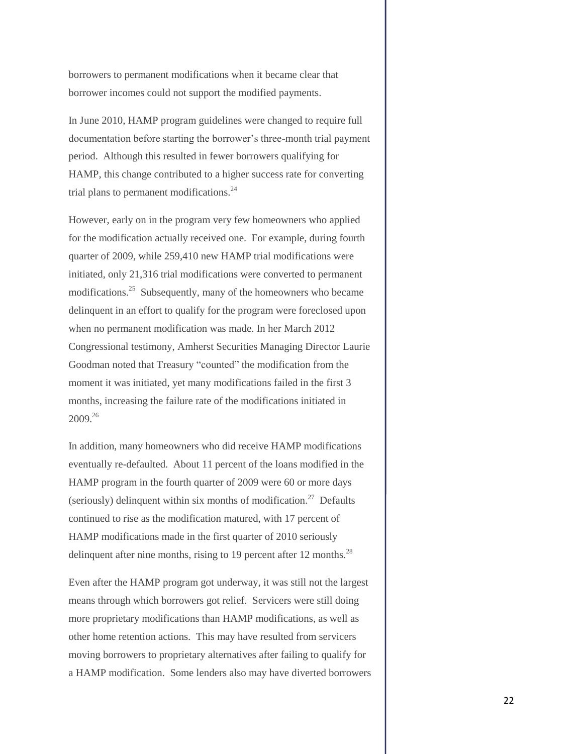borrowers to permanent modifications when it became clear that borrower incomes could not support the modified payments.

In June 2010, HAMP program guidelines were changed to require full documentation before starting the borrower's three-month trial payment period. Although this resulted in fewer borrowers qualifying for HAMP, this change contributed to a higher success rate for converting trial plans to permanent modifications. $24$ 

However, early on in the program very few homeowners who applied for the modification actually received one. For example, during fourth quarter of 2009, while 259,410 new HAMP trial modifications were initiated, only 21,316 trial modifications were converted to permanent modifications.<sup>25</sup> Subsequently, many of the homeowners who became delinquent in an effort to qualify for the program were foreclosed upon when no permanent modification was made. In her March 2012 Congressional testimony, Amherst Securities Managing Director Laurie Goodman noted that Treasury "counted" the modification from the moment it was initiated, yet many modifications failed in the first 3 months, increasing the failure rate of the modifications initiated in 2009.<sup>26</sup>

In addition, many homeowners who did receive HAMP modifications eventually re-defaulted. About 11 percent of the loans modified in the HAMP program in the fourth quarter of 2009 were 60 or more days (seriously) delinquent within six months of modification.<sup>27</sup> Defaults continued to rise as the modification matured, with 17 percent of HAMP modifications made in the first quarter of 2010 seriously delinquent after nine months, rising to 19 percent after 12 months.<sup>28</sup>

Even after the HAMP program got underway, it was still not the largest means through which borrowers got relief. Servicers were still doing more proprietary modifications than HAMP modifications, as well as other home retention actions. This may have resulted from servicers moving borrowers to proprietary alternatives after failing to qualify for a HAMP modification. Some lenders also may have diverted borrowers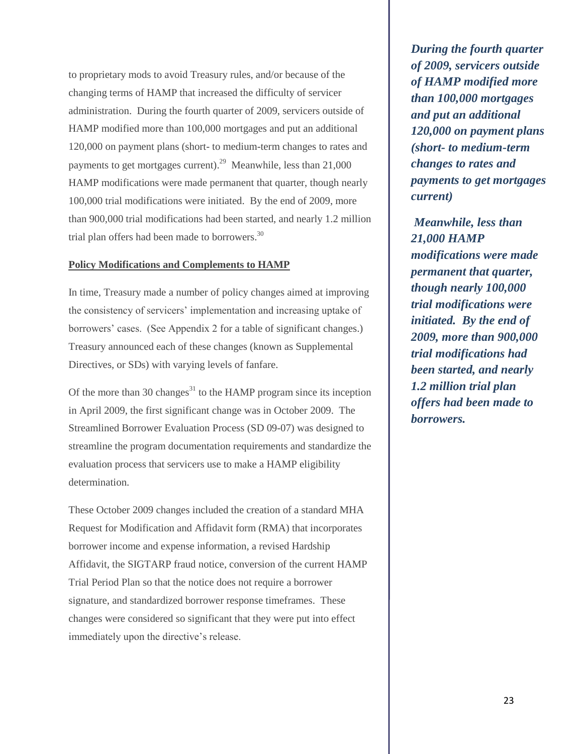to proprietary mods to avoid Treasury rules, and/or because of the changing terms of HAMP that increased the difficulty of servicer administration. During the fourth quarter of 2009, servicers outside of HAMP modified more than 100,000 mortgages and put an additional 120,000 on payment plans (short- to medium-term changes to rates and payments to get mortgages current).<sup>29</sup> Meanwhile, less than  $21,000$ HAMP modifications were made permanent that quarter, though nearly 100,000 trial modifications were initiated. By the end of 2009, more than 900,000 trial modifications had been started, and nearly 1.2 million trial plan offers had been made to borrowers.<sup>30</sup>

#### **Policy Modifications and Complements to HAMP**

In time, Treasury made a number of policy changes aimed at improving the consistency of servicers' implementation and increasing uptake of borrowers' cases. (See Appendix 2 for a table of significant changes.) Treasury announced each of these changes (known as Supplemental Directives, or SDs) with varying levels of fanfare.

Of the more than 30 changes<sup>31</sup> to the HAMP program since its inception in April 2009, the first significant change was in October 2009. The Streamlined Borrower Evaluation Process (SD 09-07) was designed to streamline the program documentation requirements and standardize the evaluation process that servicers use to make a HAMP eligibility determination.

These October 2009 changes included the creation of a standard MHA Request for Modification and Affidavit form (RMA) that incorporates borrower income and expense information, a revised Hardship Affidavit, the SIGTARP fraud notice, conversion of the current HAMP Trial Period Plan so that the notice does not require a borrower signature, and standardized borrower response timeframes. These changes were considered so significant that they were put into effect immediately upon the directive's release.

*During the fourth quarter of 2009, servicers outside of HAMP modified more than 100,000 mortgages and put an additional 120,000 on payment plans (short- to medium-term changes to rates and payments to get mortgages current)*

*Meanwhile, less than 21,000 HAMP modifications were made permanent that quarter, though nearly 100,000 trial modifications were initiated. By the end of 2009, more than 900,000 trial modifications had been started, and nearly 1.2 million trial plan offers had been made to borrowers.*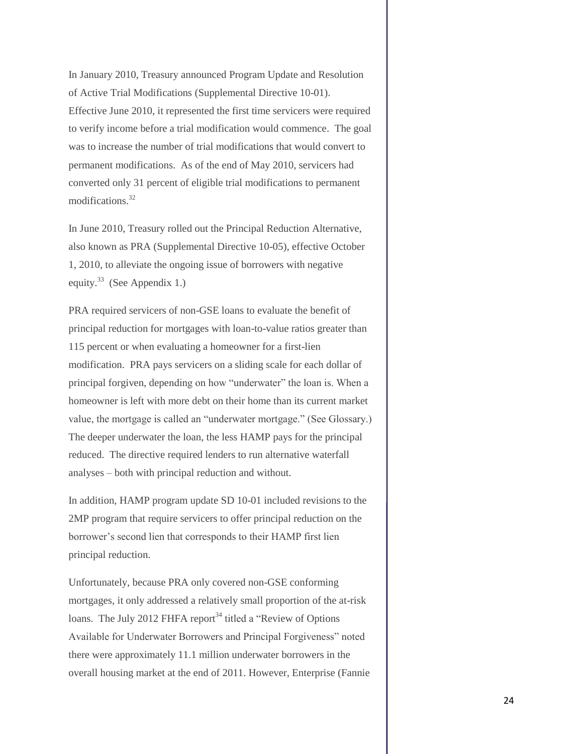In January 2010, Treasury announced Program Update and Resolution of Active Trial Modifications (Supplemental Directive 10-01). Effective June 2010, it represented the first time servicers were required to verify income before a trial modification would commence. The goal was to increase the number of trial modifications that would convert to permanent modifications. As of the end of May 2010, servicers had converted only 31 percent of eligible trial modifications to permanent modifications.<sup>32</sup>

In June 2010, Treasury rolled out the Principal Reduction Alternative, also known as PRA (Supplemental Directive 10-05), effective October 1, 2010, to alleviate the ongoing issue of borrowers with negative equity.<sup>33</sup> (See Appendix 1.)

PRA required servicers of non-GSE loans to evaluate the benefit of principal reduction for mortgages with loan-to-value ratios greater than 115 percent or when evaluating a homeowner for a first-lien modification. PRA pays servicers on a sliding scale for each dollar of principal forgiven, depending on how "underwater" the loan is. When a homeowner is left with more debt on their home than its current market value, the mortgage is called an "underwater mortgage." (See Glossary.) The deeper underwater the loan, the less HAMP pays for the principal reduced. The directive required lenders to run alternative waterfall analyses – both with principal reduction and without.

In addition, HAMP program update SD 10-01 included revisions to the 2MP program that require servicers to offer principal reduction on the borrower's second lien that corresponds to their HAMP first lien principal reduction.

Unfortunately, because PRA only covered non-GSE conforming mortgages, it only addressed a relatively small proportion of the at-risk loans. The July 2012 FHFA report<sup>34</sup> titled a "Review of Options" Available for Underwater Borrowers and Principal Forgiveness" noted there were approximately 11.1 million underwater borrowers in the overall housing market at the end of 2011. However, Enterprise (Fannie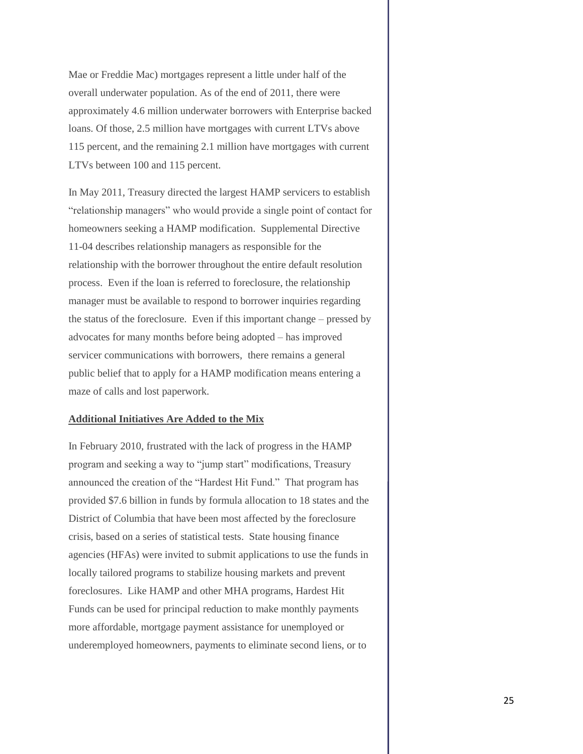Mae or Freddie Mac) mortgages represent a little under half of the overall underwater population. As of the end of 2011, there were approximately 4.6 million underwater borrowers with Enterprise backed loans. Of those, 2.5 million have mortgages with current LTVs above 115 percent, and the remaining 2.1 million have mortgages with current LTVs between 100 and 115 percent.

In May 2011, Treasury directed the largest HAMP servicers to establish "relationship managers" who would provide a single point of contact for homeowners seeking a HAMP modification. Supplemental Directive 11-04 describes relationship managers as responsible for the relationship with the borrower throughout the entire default resolution process. Even if the loan is referred to foreclosure, the relationship manager must be available to respond to borrower inquiries regarding the status of the foreclosure. Even if this important change – pressed by advocates for many months before being adopted – has improved servicer communications with borrowers, there remains a general public belief that to apply for a HAMP modification means entering a maze of calls and lost paperwork.

#### **Additional Initiatives Are Added to the Mix**

In February 2010, frustrated with the lack of progress in the HAMP program and seeking a way to "jump start" modifications, Treasury announced the creation of the "Hardest Hit Fund." That program has provided \$7.6 billion in funds by formula allocation to 18 states and the District of Columbia that have been most affected by the foreclosure crisis, based on a series of statistical tests. State housing finance agencies (HFAs) were invited to submit applications to use the funds in locally tailored programs to stabilize housing markets and prevent foreclosures. Like HAMP and other MHA programs, Hardest Hit Funds can be used for principal reduction to make monthly payments more affordable, mortgage payment assistance for unemployed or underemployed homeowners, payments to eliminate second liens, or to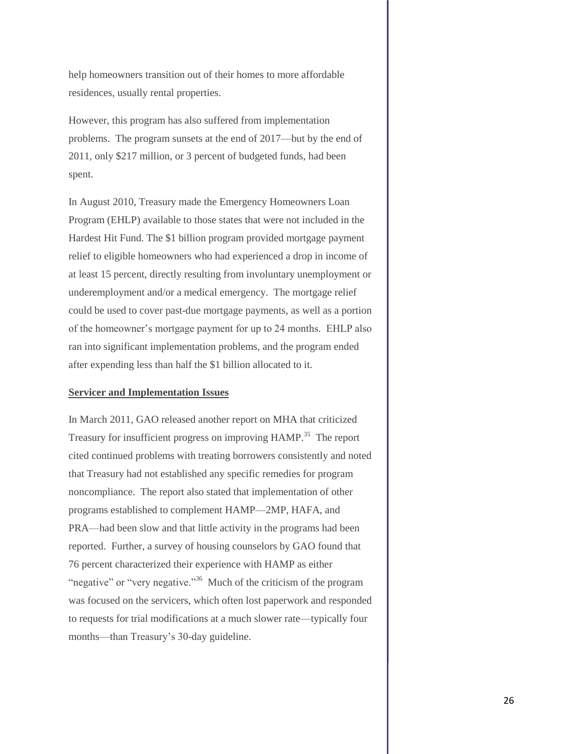help homeowners transition out of their homes to more affordable residences, usually rental properties.

However, this program has also suffered from implementation problems. The program sunsets at the end of 2017—but by the end of 2011, only \$217 million, or 3 percent of budgeted funds, had been spent.

In August 2010, Treasury made the Emergency Homeowners Loan Program (EHLP) available to those states that were not included in the Hardest Hit Fund. The \$1 billion program provided mortgage payment relief to eligible homeowners who had experienced a drop in income of at least 15 percent, directly resulting from involuntary unemployment or underemployment and/or a medical emergency. The mortgage relief could be used to cover past-due mortgage payments, as well as a portion of the homeowner's mortgage payment for up to 24 months. EHLP also ran into significant implementation problems, and the program ended after expending less than half the \$1 billion allocated to it.

#### **Servicer and Implementation Issues**

In March 2011, GAO released another report on MHA that criticized Treasury for insufficient progress on improving HAMP.<sup>35</sup> The report cited continued problems with treating borrowers consistently and noted that Treasury had not established any specific remedies for program noncompliance. The report also stated that implementation of other programs established to complement HAMP—2MP, HAFA, and PRA—had been slow and that little activity in the programs had been reported. Further, a survey of housing counselors by GAO found that 76 percent characterized their experience with HAMP as either "negative" or "very negative."<sup>36</sup> Much of the criticism of the program was focused on the servicers, which often lost paperwork and responded to requests for trial modifications at a much slower rate—typically four months—than Treasury's 30-day guideline.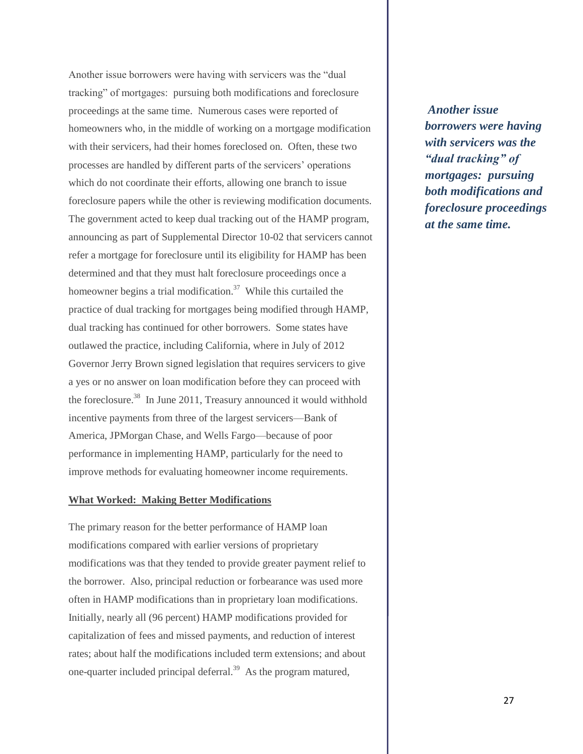Another issue borrowers were having with servicers was the "dual tracking" of mortgages: pursuing both modifications and foreclosure proceedings at the same time. Numerous cases were reported of homeowners who, in the middle of working on a mortgage modification with their servicers, had their homes foreclosed on. Often, these two processes are handled by different parts of the servicers' operations which do not coordinate their efforts, allowing one branch to issue foreclosure papers while the other is reviewing modification documents. The government acted to keep dual tracking out of the HAMP program, announcing as part of Supplemental Director 10-02 that servicers cannot refer a mortgage for foreclosure until its eligibility for HAMP has been determined and that they must halt foreclosure proceedings once a homeowner begins a trial modification.<sup>37</sup> While this curtailed the practice of dual tracking for mortgages being modified through HAMP, dual tracking has continued for other borrowers. Some states have outlawed the practice, including California, where in July of 2012 Governor Jerry Brown signed legislation that requires servicers to give a yes or no answer on loan modification before they can proceed with the foreclosure.<sup>38</sup> In June 2011, Treasury announced it would withhold incentive payments from three of the largest servicers—Bank of America, JPMorgan Chase, and Wells Fargo—because of poor performance in implementing HAMP, particularly for the need to improve methods for evaluating homeowner income requirements.

#### **What Worked: Making Better Modifications**

The primary reason for the better performance of HAMP loan modifications compared with earlier versions of proprietary modifications was that they tended to provide greater payment relief to the borrower. Also, principal reduction or forbearance was used more often in HAMP modifications than in proprietary loan modifications. Initially, nearly all (96 percent) HAMP modifications provided for capitalization of fees and missed payments, and reduction of interest rates; about half the modifications included term extensions; and about one-quarter included principal deferral.<sup>39</sup> As the program matured,

*Another issue borrowers were having with servicers was the "dual tracking" of mortgages: pursuing both modifications and foreclosure proceedings at the same time.*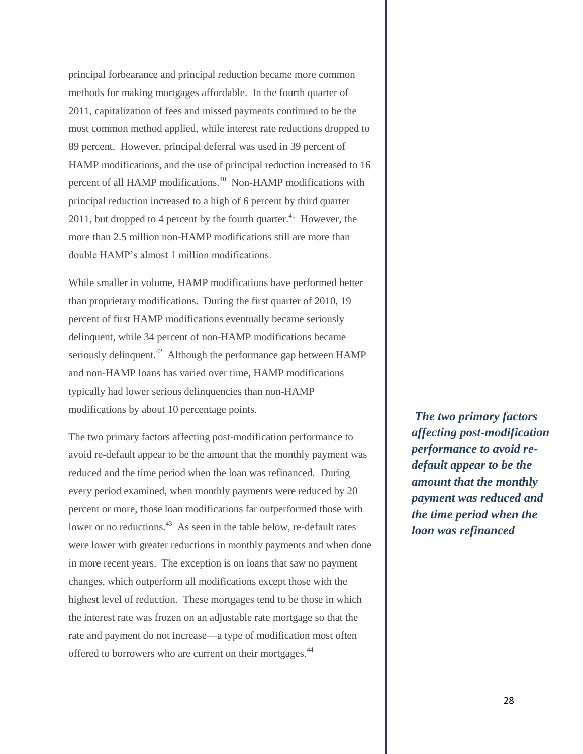principal forbearance and principal reduction became more common methods for making mortgages affordable. In the fourth quarter of 2011, capitalization of fees and missed payments continued to be the most common method applied, while interest rate reductions dropped to 89 percent. However, principal deferral was used in 39 percent of HAMP modifications, and the use of principal reduction increased to 16 percent of all HAMP modifications.<sup>40</sup> Non-HAMP modifications with principal reduction increased to a high of 6 percent by third quarter 2011, but dropped to 4 percent by the fourth quarter. $41$  However, the more than 2.5 million non-HAMP modifications still are more than double HAMP's almost 1 million modifications.

While smaller in volume, HAMP modifications have performed better than proprietary modifications. During the first quarter of 2010, 19 percent of first HAMP modifications eventually became seriously delinquent, while 34 percent of non-HAMP modifications became seriously delinquent.<sup>42</sup> Although the performance gap between  $HAMP$ and non-HAMP loans has varied over time, HAMP modifications typically had lower serious delinquencies than non-HAMP modifications by about 10 percentage points.

The two primary factors affecting post-modification performance to avoid re-default appear to be the amount that the monthly payment was reduced and the time period when the loan was refinanced. During every period examined, when monthly payments were reduced by 20 percent or more, those loan modifications far outperformed those with lower or no reductions.<sup>43</sup> As seen in the table below, re-default rates were lower with greater reductions in monthly payments and when done in more recent years. The exception is on loans that saw no payment changes, which outperform all modifications except those with the highest level of reduction. These mortgages tend to be those in which the interest rate was frozen on an adjustable rate mortgage so that the rate and payment do not increase—a type of modification most often offered to borrowers who are current on their mortgages.<sup>44</sup>

*The two primary factors affecting post-modification performance to avoid redefault appear to be the amount that the monthly payment was reduced and the time period when the loan was refinanced*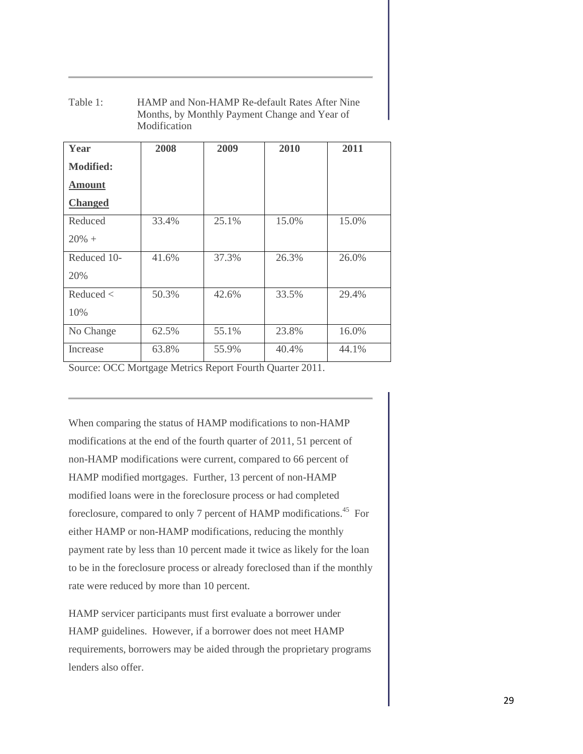| Table 1: | HAMP and Non-HAMP Re-default Rates After Nine |
|----------|-----------------------------------------------|
|          | Months, by Monthly Payment Change and Year of |
|          | Modification                                  |

| Year             | 2008  | 2009  | 2010  | 2011  |
|------------------|-------|-------|-------|-------|
| <b>Modified:</b> |       |       |       |       |
| <b>Amount</b>    |       |       |       |       |
| <b>Changed</b>   |       |       |       |       |
| Reduced          | 33.4% | 25.1% | 15.0% | 15.0% |
| $20\% +$         |       |       |       |       |
| Reduced 10-      | 41.6% | 37.3% | 26.3% | 26.0% |
| 20%              |       |       |       |       |
| Reduced <        | 50.3% | 42.6% | 33.5% | 29.4% |
| 10%              |       |       |       |       |
| No Change        | 62.5% | 55.1% | 23.8% | 16.0% |
| Increase         | 63.8% | 55.9% | 40.4% | 44.1% |

Source: OCC Mortgage Metrics Report Fourth Quarter 2011.

When comparing the status of HAMP modifications to non-HAMP modifications at the end of the fourth quarter of 2011, 51 percent of non-HAMP modifications were current, compared to 66 percent of HAMP modified mortgages. Further, 13 percent of non-HAMP modified loans were in the foreclosure process or had completed foreclosure, compared to only 7 percent of HAMP modifications.<sup>45</sup> For either HAMP or non-HAMP modifications, reducing the monthly payment rate by less than 10 percent made it twice as likely for the loan to be in the foreclosure process or already foreclosed than if the monthly rate were reduced by more than 10 percent.

HAMP servicer participants must first evaluate a borrower under HAMP guidelines. However, if a borrower does not meet HAMP requirements, borrowers may be aided through the proprietary programs lenders also offer.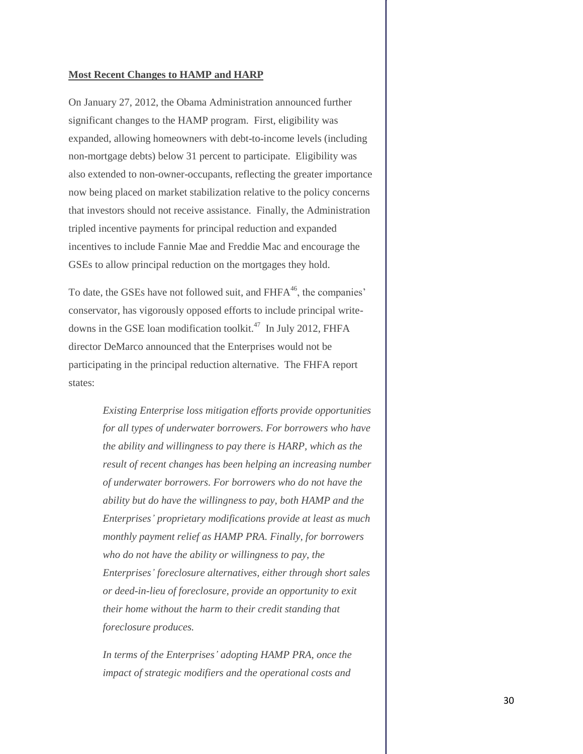#### **Most Recent Changes to HAMP and HARP**

On January 27, 2012, the Obama Administration announced further significant changes to the HAMP program. First, eligibility was expanded, allowing homeowners with debt-to-income levels (including non-mortgage debts) below 31 percent to participate. Eligibility was also extended to non-owner-occupants, reflecting the greater importance now being placed on market stabilization relative to the policy concerns that investors should not receive assistance. Finally, the Administration tripled incentive payments for principal reduction and expanded incentives to include Fannie Mae and Freddie Mac and encourage the GSEs to allow principal reduction on the mortgages they hold.

To date, the GSEs have not followed suit, and FHFA<sup>46</sup>, the companies' conservator, has vigorously opposed efforts to include principal writedowns in the GSE loan modification toolkit.<sup>47</sup> In July 2012, FHFA director DeMarco announced that the Enterprises would not be participating in the principal reduction alternative. The FHFA report states:

> *Existing Enterprise loss mitigation efforts provide opportunities for all types of underwater borrowers. For borrowers who have the ability and willingness to pay there is HARP, which as the result of recent changes has been helping an increasing number of underwater borrowers. For borrowers who do not have the ability but do have the willingness to pay, both HAMP and the Enterprises' proprietary modifications provide at least as much monthly payment relief as HAMP PRA. Finally, for borrowers who do not have the ability or willingness to pay, the Enterprises' foreclosure alternatives, either through short sales or deed-in-lieu of foreclosure, provide an opportunity to exit their home without the harm to their credit standing that foreclosure produces.*

*In terms of the Enterprises' adopting HAMP PRA, once the impact of strategic modifiers and the operational costs and*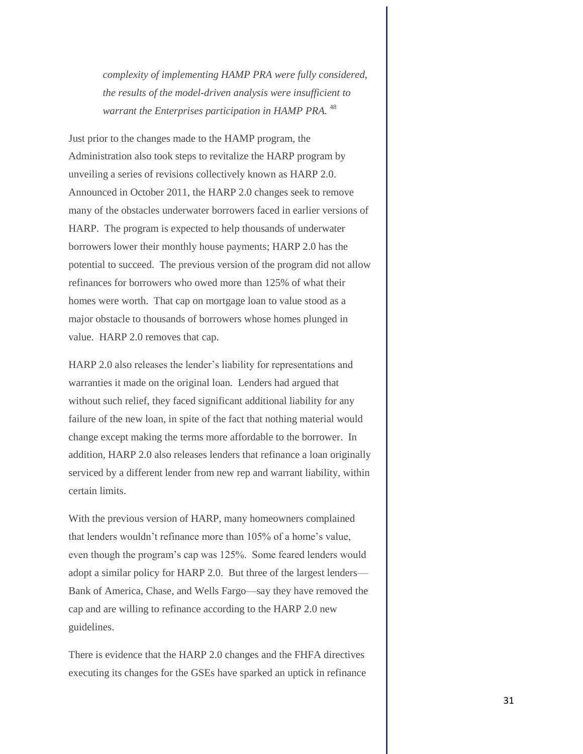*complexity of implementing HAMP PRA were fully considered, the results of the model-driven analysis were insufficient to warrant the Enterprises participation in HAMP PRA.* <sup>48</sup>

Just prior to the changes made to the HAMP program, the Administration also took steps to revitalize the HARP program by unveiling a series of revisions collectively known as HARP 2.0. Announced in October 2011, the HARP 2.0 changes seek to remove many of the obstacles underwater borrowers faced in earlier versions of HARP. The program is expected to help thousands of underwater borrowers lower their monthly house payments; HARP 2.0 has the potential to succeed. The previous version of the program did not allow refinances for borrowers who owed more than 125% of what their homes were worth. That cap on mortgage loan to value stood as a major obstacle to thousands of borrowers whose homes plunged in value. HARP 2.0 removes that cap.

HARP 2.0 also releases the lender's liability for representations and warranties it made on the original loan. Lenders had argued that without such relief, they faced significant additional liability for any failure of the new loan, in spite of the fact that nothing material would change except making the terms more affordable to the borrower. In addition, HARP 2.0 also releases lenders that refinance a loan originally serviced by a different lender from new rep and warrant liability, within certain limits.

With the previous version of HARP, many homeowners complained that lenders wouldn't refinance more than 105% of a home's value, even though the program's cap was 125%. Some feared lenders would adopt a similar policy for HARP 2.0. But three of the largest lenders— Bank of America, Chase, and Wells Fargo—say they have removed the cap and are willing to refinance according to the HARP 2.0 new guidelines.

There is evidence that the HARP 2.0 changes and the FHFA directives executing its changes for the GSEs have sparked an uptick in refinance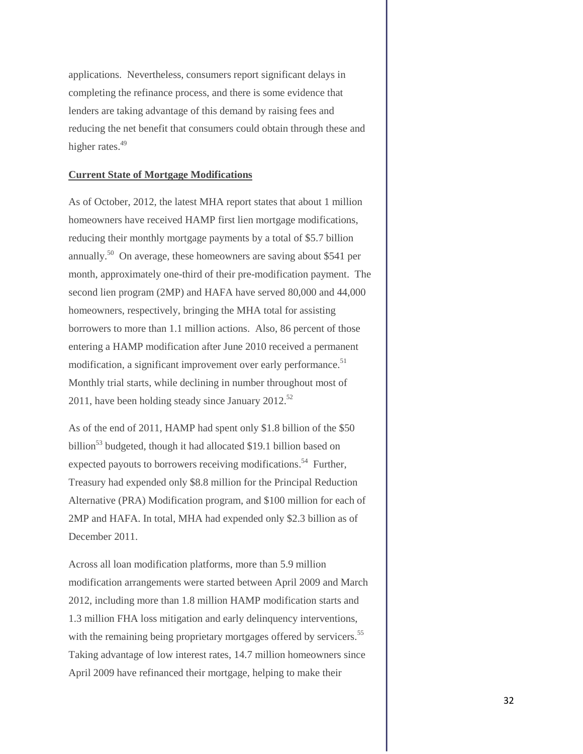applications. Nevertheless, consumers report significant delays in completing the refinance process, and there is some evidence that lenders are taking advantage of this demand by raising fees and reducing the net benefit that consumers could obtain through these and higher rates.<sup>49</sup>

#### **Current State of Mortgage Modifications**

As of October, 2012, the latest MHA report states that about 1 million homeowners have received HAMP first lien mortgage modifications, reducing their monthly mortgage payments by a total of \$5.7 billion annually.<sup>50</sup> On average, these homeowners are saving about \$541 per month, approximately one-third of their pre-modification payment. The second lien program (2MP) and HAFA have served 80,000 and 44,000 homeowners, respectively, bringing the MHA total for assisting borrowers to more than 1.1 million actions. Also, 86 percent of those entering a HAMP modification after June 2010 received a permanent modification, a significant improvement over early performance.<sup>51</sup> Monthly trial starts, while declining in number throughout most of 2011, have been holding steady since January  $2012$ <sup>52</sup>

As of the end of 2011, HAMP had spent only \$1.8 billion of the \$50 billion<sup>53</sup> budgeted, though it had allocated \$19.1 billion based on expected payouts to borrowers receiving modifications.<sup>54</sup> Further, Treasury had expended only \$8.8 million for the Principal Reduction Alternative (PRA) Modification program, and \$100 million for each of 2MP and HAFA. In total, MHA had expended only \$2.3 billion as of December 2011.

Across all loan modification platforms, more than 5.9 million modification arrangements were started between April 2009 and March 2012, including more than 1.8 million HAMP modification starts and 1.3 million FHA loss mitigation and early delinquency interventions, with the remaining being proprietary mortgages offered by servicers.<sup>55</sup> Taking advantage of low interest rates, 14.7 million homeowners since April 2009 have refinanced their mortgage, helping to make their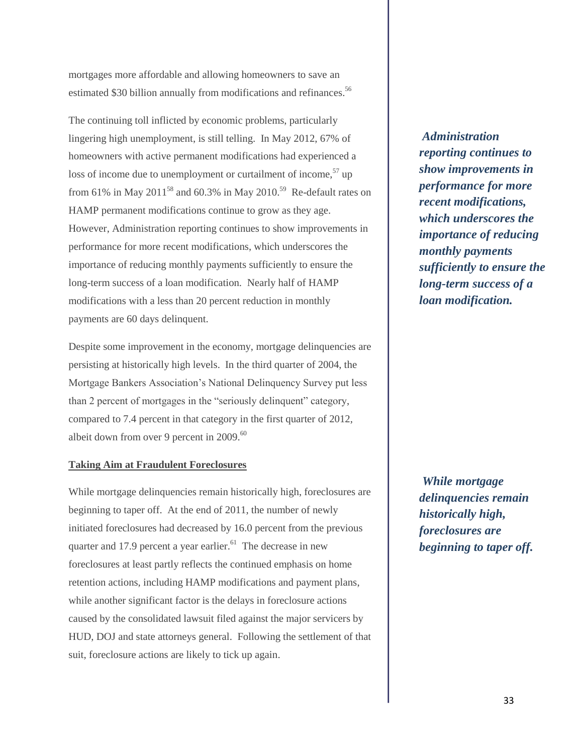mortgages more affordable and allowing homeowners to save an estimated \$30 billion annually from modifications and refinances.<sup>56</sup>

The continuing toll inflicted by economic problems, particularly lingering high unemployment, is still telling. In May 2012, 67% of homeowners with active permanent modifications had experienced a loss of income due to unemployment or curtailment of income,  $57$  up from 61% in May 2011<sup>58</sup> and 60.3% in May 2010.<sup>59</sup> Re-default rates on HAMP permanent modifications continue to grow as they age. However, Administration reporting continues to show improvements in performance for more recent modifications, which underscores the importance of reducing monthly payments sufficiently to ensure the long-term success of a loan modification. Nearly half of HAMP modifications with a less than 20 percent reduction in monthly payments are 60 days delinquent.

Despite some improvement in the economy, mortgage delinquencies are persisting at historically high levels. In the third quarter of 2004, the Mortgage Bankers Association's National Delinquency Survey put less than 2 percent of mortgages in the "seriously delinquent" category, compared to 7.4 percent in that category in the first quarter of 2012, albeit down from over 9 percent in 2009.<sup>60</sup>

#### **Taking Aim at Fraudulent Foreclosures**

While mortgage delinquencies remain historically high, foreclosures are beginning to taper off. At the end of 2011, the number of newly initiated foreclosures had decreased by 16.0 percent from the previous quarter and 17.9 percent a year earlier. $^{61}$  The decrease in new foreclosures at least partly reflects the continued emphasis on home retention actions, including HAMP modifications and payment plans, while another significant factor is the delays in foreclosure actions caused by the consolidated lawsuit filed against the major servicers by HUD, DOJ and state attorneys general. Following the settlement of that suit, foreclosure actions are likely to tick up again.

*Administration reporting continues to show improvements in performance for more recent modifications, which underscores the importance of reducing monthly payments sufficiently to ensure the long-term success of a loan modification.* 

*While mortgage delinquencies remain historically high, foreclosures are beginning to taper off.*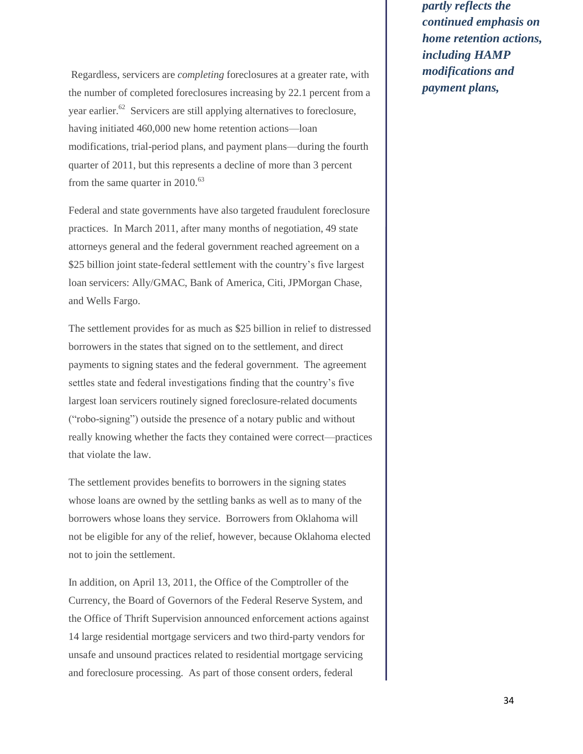Regardless, servicers are *completing* foreclosures at a greater rate, with the number of completed foreclosures increasing by 22.1 percent from a year earlier.<sup>62</sup> Servicers are still applying alternatives to foreclosure, having initiated 460,000 new home retention actions—loan modifications, trial-period plans, and payment plans—during the fourth quarter of 2011, but this represents a decline of more than 3 percent from the same quarter in  $2010^{63}$ 

Federal and state governments have also targeted fraudulent foreclosure practices. In March 2011, after many months of negotiation, 49 state attorneys general and the federal government reached agreement on a \$25 billion joint state-federal settlement with the country's five largest loan servicers: Ally/GMAC, Bank of America, Citi, JPMorgan Chase, and Wells Fargo.

The settlement provides for as much as \$25 billion in relief to distressed borrowers in the states that signed on to the settlement, and direct payments to signing states and the federal government. The agreement settles state and federal investigations finding that the country's five largest loan servicers routinely signed foreclosure-related documents ("robo-signing") outside the presence of a notary public and without really knowing whether the facts they contained were correct—practices that violate the law.

The settlement provides benefits to borrowers in the signing states whose loans are owned by the settling banks as well as to many of the borrowers whose loans they service. Borrowers from Oklahoma will not be eligible for any of the relief, however, because Oklahoma elected not to join the settlement.

In addition, on April 13, 2011, the Office of the Comptroller of the Currency, the Board of Governors of the Federal Reserve System, and the Office of Thrift Supervision announced enforcement actions against 14 large residential mortgage servicers and two third-party vendors for unsafe and unsound practices related to residential mortgage servicing and foreclosure processing. As part of those consent orders, federal

*partly reflects the continued emphasis on home retention actions, including HAMP modifications and payment plans,*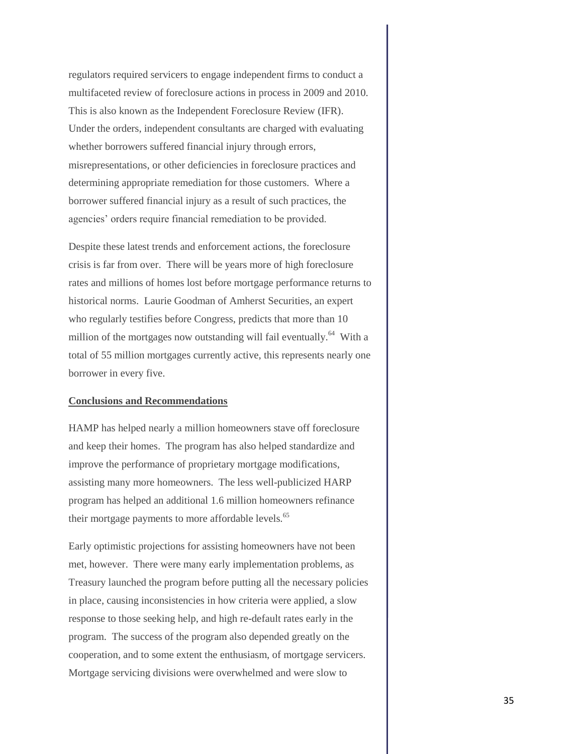regulators required servicers to engage independent firms to conduct a multifaceted review of foreclosure actions in process in 2009 and 2010. This is also known as the Independent Foreclosure Review (IFR). Under the orders, independent consultants are charged with evaluating whether borrowers suffered financial injury through errors, misrepresentations, or other deficiencies in foreclosure practices and determining appropriate remediation for those customers. Where a borrower suffered financial injury as a result of such practices, the agencies' orders require financial remediation to be provided.

Despite these latest trends and enforcement actions, the foreclosure crisis is far from over. There will be years more of high foreclosure rates and millions of homes lost before mortgage performance returns to historical norms. Laurie Goodman of Amherst Securities, an expert who regularly testifies before Congress, predicts that more than 10 million of the mortgages now outstanding will fail eventually.<sup>64</sup> With a total of 55 million mortgages currently active, this represents nearly one borrower in every five.

#### **Conclusions and Recommendations**

HAMP has helped nearly a million homeowners stave off foreclosure and keep their homes. The program has also helped standardize and improve the performance of proprietary mortgage modifications, assisting many more homeowners. The less well-publicized HARP program has helped an additional 1.6 million homeowners refinance their mortgage payments to more affordable levels.<sup>65</sup>

Early optimistic projections for assisting homeowners have not been met, however. There were many early implementation problems, as Treasury launched the program before putting all the necessary policies in place, causing inconsistencies in how criteria were applied, a slow response to those seeking help, and high re-default rates early in the program. The success of the program also depended greatly on the cooperation, and to some extent the enthusiasm, of mortgage servicers. Mortgage servicing divisions were overwhelmed and were slow to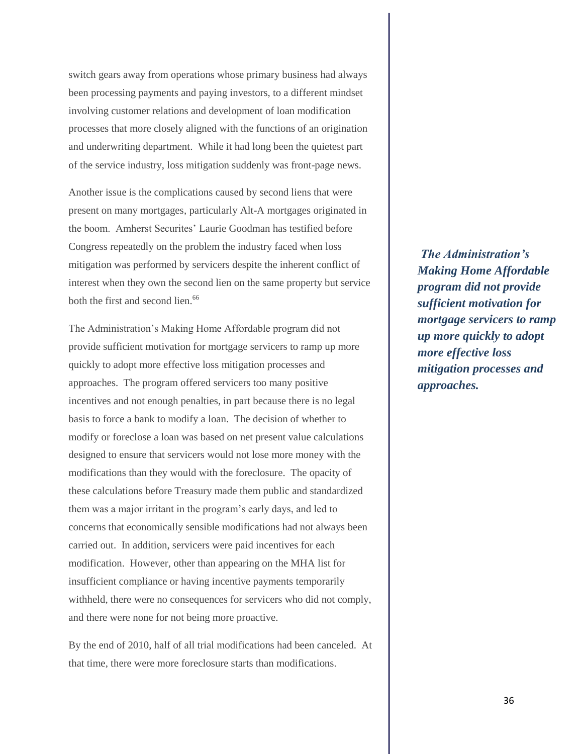switch gears away from operations whose primary business had always been processing payments and paying investors, to a different mindset involving customer relations and development of loan modification processes that more closely aligned with the functions of an origination and underwriting department. While it had long been the quietest part of the service industry, loss mitigation suddenly was front-page news.

Another issue is the complications caused by second liens that were present on many mortgages, particularly Alt-A mortgages originated in the boom. Amherst Securites' Laurie Goodman has testified before Congress repeatedly on the problem the industry faced when loss mitigation was performed by servicers despite the inherent conflict of interest when they own the second lien on the same property but service both the first and second lien.<sup>66</sup>

The Administration's Making Home Affordable program did not provide sufficient motivation for mortgage servicers to ramp up more quickly to adopt more effective loss mitigation processes and approaches. The program offered servicers too many positive incentives and not enough penalties, in part because there is no legal basis to force a bank to modify a loan. The decision of whether to modify or foreclose a loan was based on net present value calculations designed to ensure that servicers would not lose more money with the modifications than they would with the foreclosure. The opacity of these calculations before Treasury made them public and standardized them was a major irritant in the program's early days, and led to concerns that economically sensible modifications had not always been carried out. In addition, servicers were paid incentives for each modification. However, other than appearing on the MHA list for insufficient compliance or having incentive payments temporarily withheld, there were no consequences for servicers who did not comply, and there were none for not being more proactive.

By the end of 2010, half of all trial modifications had been canceled. At that time, there were more foreclosure starts than modifications.

*The Administration's Making Home Affordable program did not provide sufficient motivation for mortgage servicers to ramp up more quickly to adopt more effective loss mitigation processes and approaches.*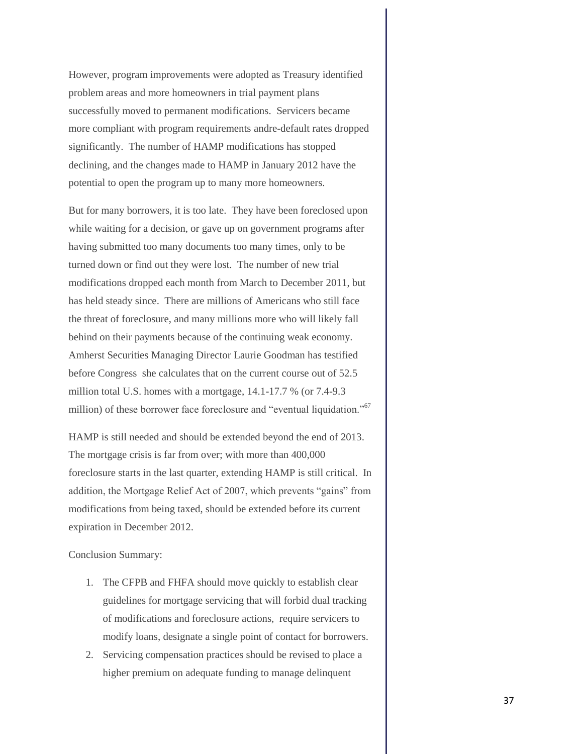However, program improvements were adopted as Treasury identified problem areas and more homeowners in trial payment plans successfully moved to permanent modifications. Servicers became more compliant with program requirements andre-default rates dropped significantly. The number of HAMP modifications has stopped declining, and the changes made to HAMP in January 2012 have the potential to open the program up to many more homeowners.

But for many borrowers, it is too late. They have been foreclosed upon while waiting for a decision, or gave up on government programs after having submitted too many documents too many times, only to be turned down or find out they were lost. The number of new trial modifications dropped each month from March to December 2011, but has held steady since. There are millions of Americans who still face the threat of foreclosure, and many millions more who will likely fall behind on their payments because of the continuing weak economy. Amherst Securities Managing Director Laurie Goodman has testified before Congress she calculates that on the current course out of 52.5 million total U.S. homes with a mortgage, 14.1-17.7 % (or 7.4-9.3 million) of these borrower face foreclosure and "eventual liquidation."<sup>67</sup>

HAMP is still needed and should be extended beyond the end of 2013. The mortgage crisis is far from over; with more than 400,000 foreclosure starts in the last quarter, extending HAMP is still critical. In addition, the Mortgage Relief Act of 2007, which prevents "gains" from modifications from being taxed, should be extended before its current expiration in December 2012.

Conclusion Summary:

- 1. The CFPB and FHFA should move quickly to establish clear guidelines for mortgage servicing that will forbid dual tracking of modifications and foreclosure actions, require servicers to modify loans, designate a single point of contact for borrowers.
- 2. Servicing compensation practices should be revised to place a higher premium on adequate funding to manage delinquent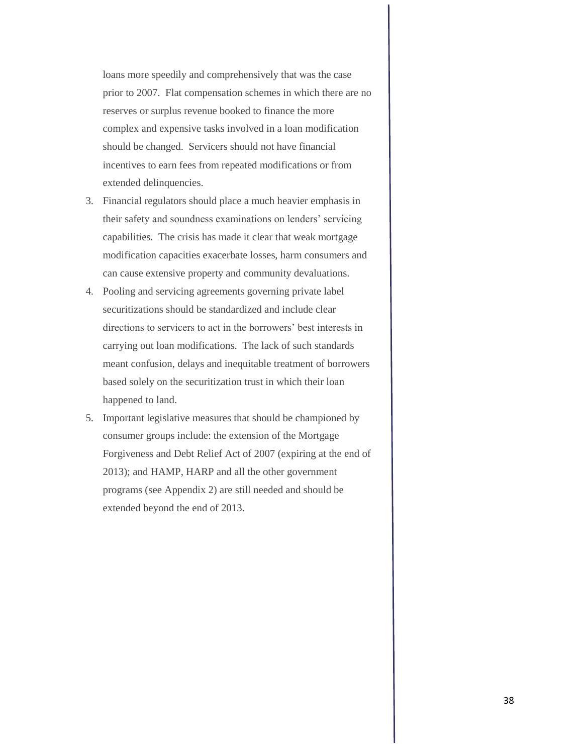loans more speedily and comprehensively that was the case prior to 2007. Flat compensation schemes in which there are no reserves or surplus revenue booked to finance the more complex and expensive tasks involved in a loan modification should be changed. Servicers should not have financial incentives to earn fees from repeated modifications or from extended delinquencies.

- 3. Financial regulators should place a much heavier emphasis in their safety and soundness examinations on lenders' servicing capabilities. The crisis has made it clear that weak mortgage modification capacities exacerbate losses, harm consumers and can cause extensive property and community devaluations.
- 4. Pooling and servicing agreements governing private label securitizations should be standardized and include clear directions to servicers to act in the borrowers' best interests in carrying out loan modifications. The lack of such standards meant confusion, delays and inequitable treatment of borrowers based solely on the securitization trust in which their loan happened to land.
- 5. Important legislative measures that should be championed by consumer groups include: the extension of the Mortgage Forgiveness and Debt Relief Act of 2007 (expiring at the end of 2013); and HAMP, HARP and all the other government programs (see Appendix 2) are still needed and should be extended beyond the end of 2013.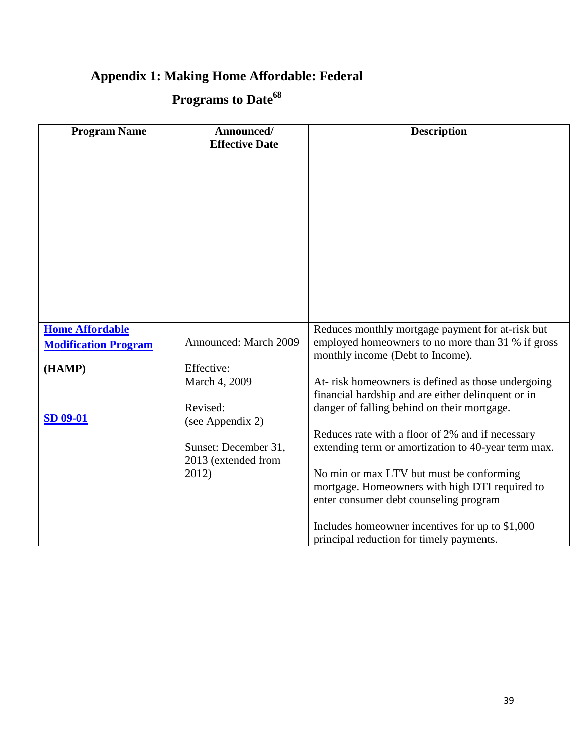## **Appendix 1: Making Home Affordable: Federal**

## **Programs to Date<sup>68</sup>**

| <b>Program Name</b>                                   | Announced/<br><b>Effective Date</b>                                      | <b>Description</b>                                                                                                                                                                                                                                                                                                                             |
|-------------------------------------------------------|--------------------------------------------------------------------------|------------------------------------------------------------------------------------------------------------------------------------------------------------------------------------------------------------------------------------------------------------------------------------------------------------------------------------------------|
|                                                       |                                                                          |                                                                                                                                                                                                                                                                                                                                                |
|                                                       |                                                                          |                                                                                                                                                                                                                                                                                                                                                |
| <b>Home Affordable</b><br><b>Modification Program</b> | Announced: March 2009                                                    | Reduces monthly mortgage payment for at-risk but<br>employed homeowners to no more than 31 % if gross<br>monthly income (Debt to Income).                                                                                                                                                                                                      |
| (HAMP)                                                | Effective:<br>March 4, 2009<br>Revised:                                  | At- risk homeowners is defined as those undergoing<br>financial hardship and are either delinquent or in<br>danger of falling behind on their mortgage.                                                                                                                                                                                        |
| <b>SD 09-01</b>                                       | (see Appendix 2)<br>Sunset: December 31,<br>2013 (extended from<br>2012) | Reduces rate with a floor of 2% and if necessary<br>extending term or amortization to 40-year term max.<br>No min or max LTV but must be conforming<br>mortgage. Homeowners with high DTI required to<br>enter consumer debt counseling program<br>Includes homeowner incentives for up to \$1,000<br>principal reduction for timely payments. |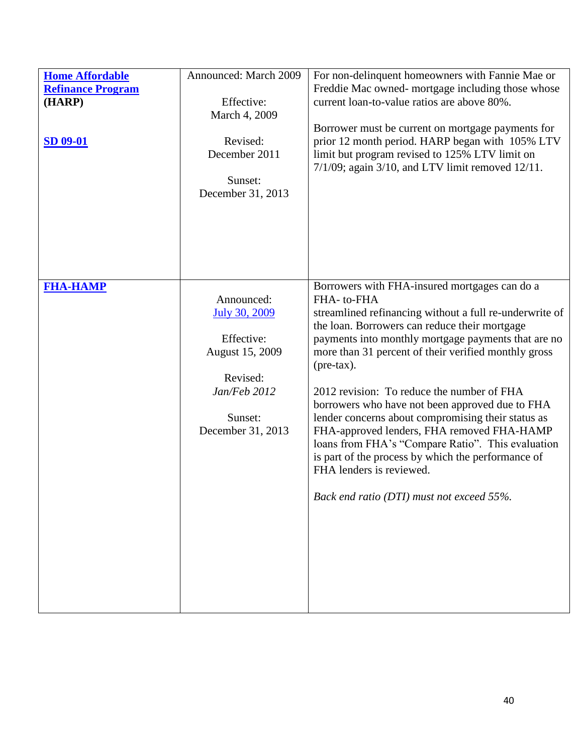| <b>Home Affordable</b><br><b>Refinance Program</b><br>(HARP)<br><b>SD 09-01</b> | Announced: March 2009<br>Effective:<br>March 4, 2009<br>Revised:<br>December 2011<br>Sunset:<br>December 31, 2013               | For non-delinquent homeowners with Fannie Mae or<br>Freddie Mac owned- mortgage including those whose<br>current loan-to-value ratios are above 80%.<br>Borrower must be current on mortgage payments for<br>prior 12 month period. HARP began with 105% LTV<br>limit but program revised to 125% LTV limit on<br>$7/1/09$ ; again $3/10$ , and LTV limit removed $12/11$ .                                                                                                                                                                                                                                                                                                                            |
|---------------------------------------------------------------------------------|---------------------------------------------------------------------------------------------------------------------------------|--------------------------------------------------------------------------------------------------------------------------------------------------------------------------------------------------------------------------------------------------------------------------------------------------------------------------------------------------------------------------------------------------------------------------------------------------------------------------------------------------------------------------------------------------------------------------------------------------------------------------------------------------------------------------------------------------------|
| <b>FHA-HAMP</b>                                                                 | Announced:<br><b>July 30, 2009</b><br>Effective:<br>August 15, 2009<br>Revised:<br>Jan/Feb 2012<br>Sunset:<br>December 31, 2013 | Borrowers with FHA-insured mortgages can do a<br>FHA-to-FHA<br>streamlined refinancing without a full re-underwrite of<br>the loan. Borrowers can reduce their mortgage<br>payments into monthly mortgage payments that are no<br>more than 31 percent of their verified monthly gross<br>$(\text{pre-tax}).$<br>2012 revision: To reduce the number of FHA<br>borrowers who have not been approved due to FHA<br>lender concerns about compromising their status as<br>FHA-approved lenders, FHA removed FHA-HAMP<br>loans from FHA's "Compare Ratio". This evaluation<br>is part of the process by which the performance of<br>FHA lenders is reviewed.<br>Back end ratio (DTI) must not exceed 55%. |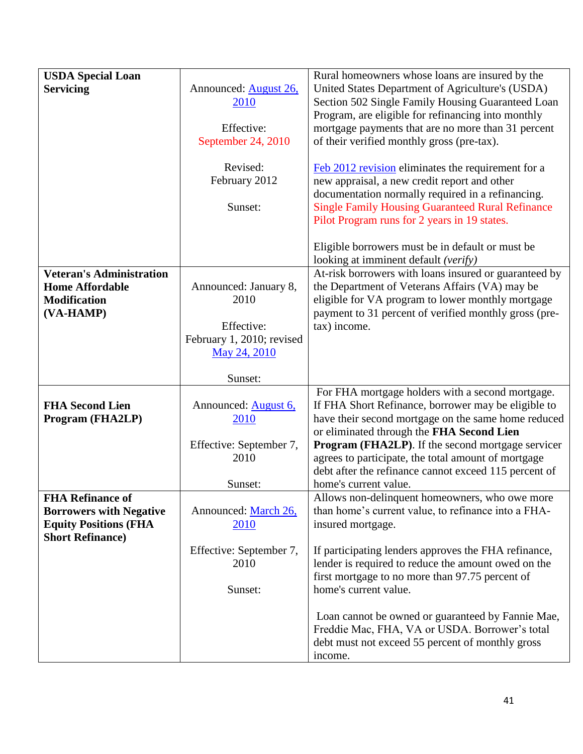| <b>USDA Special Loan</b>        |                               | Rural homeowners whose loans are insured by the                                                    |
|---------------------------------|-------------------------------|----------------------------------------------------------------------------------------------------|
| <b>Servicing</b>                | Announced: <b>August 26</b> , | United States Department of Agriculture's (USDA)                                                   |
|                                 | 2010                          | Section 502 Single Family Housing Guaranteed Loan                                                  |
|                                 |                               | Program, are eligible for refinancing into monthly                                                 |
|                                 | Effective:                    | mortgage payments that are no more than 31 percent                                                 |
|                                 | September 24, 2010            | of their verified monthly gross (pre-tax).                                                         |
|                                 |                               |                                                                                                    |
|                                 | Revised:                      | Feb 2012 revision eliminates the requirement for a                                                 |
|                                 |                               | new appraisal, a new credit report and other                                                       |
|                                 | February 2012                 |                                                                                                    |
|                                 | Sunset:                       | documentation normally required in a refinancing.                                                  |
|                                 |                               | <b>Single Family Housing Guaranteed Rural Refinance</b>                                            |
|                                 |                               | Pilot Program runs for 2 years in 19 states.                                                       |
|                                 |                               | Eligible borrowers must be in default or must be                                                   |
|                                 |                               | looking at imminent default (verify)                                                               |
| <b>Veteran's Administration</b> |                               | At-risk borrowers with loans insured or guaranteed by                                              |
| <b>Home Affordable</b>          | Announced: January 8,         | the Department of Veterans Affairs (VA) may be                                                     |
| <b>Modification</b>             | 2010                          | eligible for VA program to lower monthly mortgage                                                  |
|                                 |                               |                                                                                                    |
| (VA-HAMP)                       |                               | payment to 31 percent of verified monthly gross (pre-                                              |
|                                 | Effective:                    | tax) income.                                                                                       |
|                                 | February 1, 2010; revised     |                                                                                                    |
|                                 | May 24, 2010                  |                                                                                                    |
|                                 | Sunset:                       |                                                                                                    |
|                                 |                               | For FHA mortgage holders with a second mortgage.                                                   |
| <b>FHA Second Lien</b>          | Announced: August 6,          | If FHA Short Refinance, borrower may be eligible to                                                |
| Program (FHA2LP)                | 2010                          | have their second mortgage on the same home reduced                                                |
|                                 |                               | or eliminated through the FHA Second Lien                                                          |
|                                 |                               |                                                                                                    |
|                                 |                               |                                                                                                    |
|                                 | Effective: September 7,       | <b>Program (FHA2LP).</b> If the second mortgage servicer                                           |
|                                 | 2010                          | agrees to participate, the total amount of mortgage                                                |
|                                 |                               | debt after the refinance cannot exceed 115 percent of                                              |
|                                 | Sunset:                       | home's current value.                                                                              |
| <b>FHA Refinance of</b>         |                               | Allows non-delinquent homeowners, who owe more                                                     |
| <b>Borrowers with Negative</b>  | Announced: March 26,          | than home's current value, to refinance into a FHA-                                                |
| <b>Equity Positions (FHA</b>    | <u>2010</u>                   | insured mortgage.                                                                                  |
| <b>Short Refinance</b> )        |                               |                                                                                                    |
|                                 | Effective: September 7,       | If participating lenders approves the FHA refinance,                                               |
|                                 | 2010                          | lender is required to reduce the amount owed on the                                                |
|                                 |                               | first mortgage to no more than 97.75 percent of                                                    |
|                                 | Sunset:                       | home's current value.                                                                              |
|                                 |                               |                                                                                                    |
|                                 |                               | Loan cannot be owned or guaranteed by Fannie Mae,                                                  |
|                                 |                               | Freddie Mac, FHA, VA or USDA. Borrower's total<br>debt must not exceed 55 percent of monthly gross |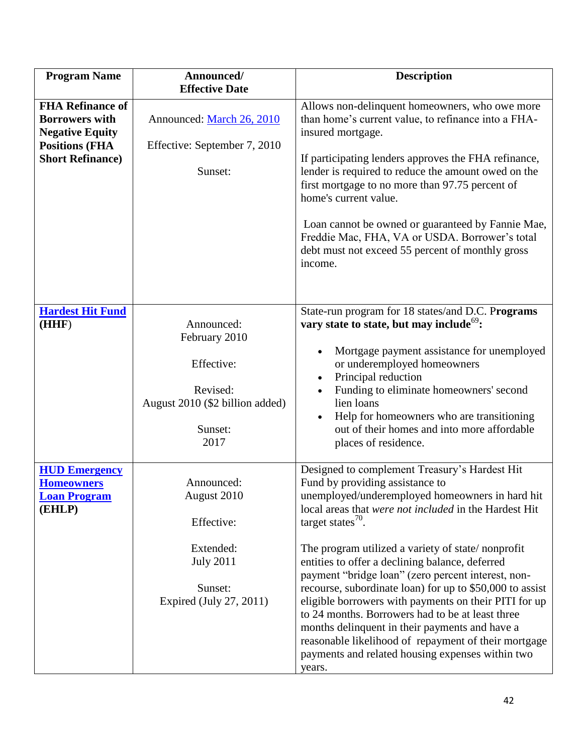| <b>Program Name</b>                                                                                                             | Announced/<br><b>Effective Date</b>                                                                            | <b>Description</b>                                                                                                                                                                                                                                                                                                                                                                                                                                                                                                                                                                                                                                                                                                                     |
|---------------------------------------------------------------------------------------------------------------------------------|----------------------------------------------------------------------------------------------------------------|----------------------------------------------------------------------------------------------------------------------------------------------------------------------------------------------------------------------------------------------------------------------------------------------------------------------------------------------------------------------------------------------------------------------------------------------------------------------------------------------------------------------------------------------------------------------------------------------------------------------------------------------------------------------------------------------------------------------------------------|
| <b>FHA Refinance of</b><br><b>Borrowers with</b><br><b>Negative Equity</b><br><b>Positions (FHA</b><br><b>Short Refinance</b> ) | Announced: March 26, 2010<br>Effective: September 7, 2010<br>Sunset:                                           | Allows non-delinquent homeowners, who owe more<br>than home's current value, to refinance into a FHA-<br>insured mortgage.<br>If participating lenders approves the FHA refinance,<br>lender is required to reduce the amount owed on the<br>first mortgage to no more than 97.75 percent of<br>home's current value.<br>Loan cannot be owned or guaranteed by Fannie Mae,<br>Freddie Mac, FHA, VA or USDA. Borrower's total<br>debt must not exceed 55 percent of monthly gross<br>income.                                                                                                                                                                                                                                            |
| <b>Hardest Hit Fund</b><br>(HHF)                                                                                                | Announced:<br>February 2010<br>Effective:<br>Revised:<br>August 2010 (\$2 billion added)<br>Sunset:<br>2017    | State-run program for 18 states/and D.C. Programs<br>vary state to state, but may include <sup>69</sup> :<br>Mortgage payment assistance for unemployed<br>or underemployed homeowners<br>Principal reduction<br>Funding to eliminate homeowners' second<br>lien loans<br>Help for homeowners who are transitioning<br>out of their homes and into more affordable<br>places of residence.                                                                                                                                                                                                                                                                                                                                             |
| <b>HUD Emergency</b><br><b>Homeowners</b><br><u> Loan Program</u><br>(EHLP)                                                     | Announced:<br>August 2010<br>Effective:<br>Extended:<br><b>July 2011</b><br>Sunset:<br>Expired (July 27, 2011) | Designed to complement Treasury's Hardest Hit<br>Fund by providing assistance to<br>unemployed/underemployed homeowners in hard hit<br>local areas that were not included in the Hardest Hit<br>target states $^{70}$ .<br>The program utilized a variety of state/nonprofit<br>entities to offer a declining balance, deferred<br>payment "bridge loan" (zero percent interest, non-<br>recourse, subordinate loan) for up to \$50,000 to assist<br>eligible borrowers with payments on their PITI for up<br>to 24 months. Borrowers had to be at least three<br>months delinquent in their payments and have a<br>reasonable likelihood of repayment of their mortgage<br>payments and related housing expenses within two<br>years. |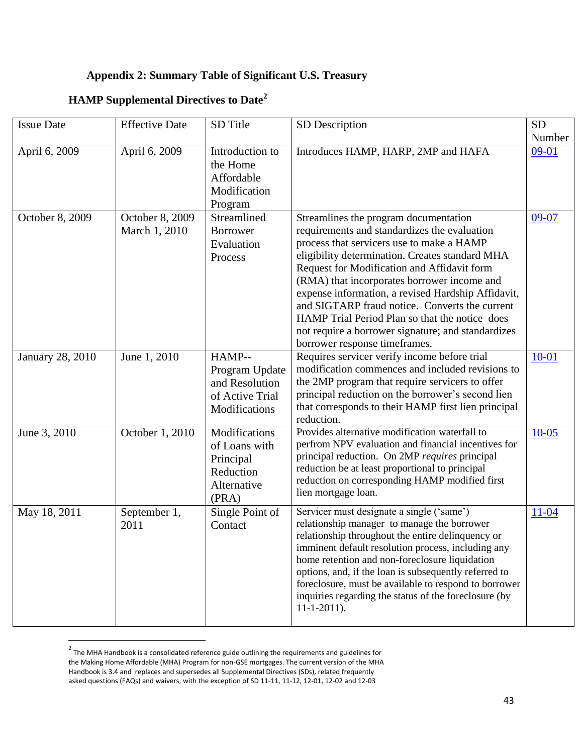### **Appendix 2: Summary Table of Significant U.S. Treasury**

### **HAMP Supplemental Directives to Date<sup>2</sup>**

| <b>Issue Date</b>       | <b>Effective Date</b>            | SD Title                                                                         | SD Description                                                                                                                                                                                                                                                                                                                                                                                                                                                                                                                       | <b>SD</b><br>Number |
|-------------------------|----------------------------------|----------------------------------------------------------------------------------|--------------------------------------------------------------------------------------------------------------------------------------------------------------------------------------------------------------------------------------------------------------------------------------------------------------------------------------------------------------------------------------------------------------------------------------------------------------------------------------------------------------------------------------|---------------------|
| April 6, 2009           | April 6, 2009                    | Introduction to<br>the Home<br>Affordable<br>Modification<br>Program             | Introduces HAMP, HARP, 2MP and HAFA                                                                                                                                                                                                                                                                                                                                                                                                                                                                                                  | $09-01$             |
| October 8, 2009         | October 8, 2009<br>March 1, 2010 | Streamlined<br><b>Borrower</b><br>Evaluation<br>Process                          | Streamlines the program documentation<br>requirements and standardizes the evaluation<br>process that servicers use to make a HAMP<br>eligibility determination. Creates standard MHA<br>Request for Modification and Affidavit form<br>(RMA) that incorporates borrower income and<br>expense information, a revised Hardship Affidavit,<br>and SIGTARP fraud notice. Converts the current<br>HAMP Trial Period Plan so that the notice does<br>not require a borrower signature; and standardizes<br>borrower response timeframes. | 09-07               |
| <b>January 28, 2010</b> | June 1, 2010                     | HAMP--<br>Program Update<br>and Resolution<br>of Active Trial<br>Modifications   | Requires servicer verify income before trial<br>modification commences and included revisions to<br>the 2MP program that require servicers to offer<br>principal reduction on the borrower's second lien<br>that corresponds to their HAMP first lien principal<br>reduction.                                                                                                                                                                                                                                                        | $10 - 01$           |
| June 3, 2010            | October 1, 2010                  | Modifications<br>of Loans with<br>Principal<br>Reduction<br>Alternative<br>(PRA) | Provides alternative modification waterfall to<br>perfrom NPV evaluation and financial incentives for<br>principal reduction. On 2MP requires principal<br>reduction be at least proportional to principal<br>reduction on corresponding HAMP modified first<br>lien mortgage loan.                                                                                                                                                                                                                                                  | $10 - 05$           |
| May 18, 2011            | September 1,<br>2011             | Single Point of<br>Contact                                                       | Servicer must designate a single ('same')<br>relationship manager to manage the borrower<br>relationship throughout the entire delinquency or<br>imminent default resolution process, including any<br>home retention and non-foreclosure liquidation<br>options, and, if the loan is subsequently referred to<br>foreclosure, must be available to respond to borrower<br>inquiries regarding the status of the foreclosure (by<br>$11 - 1 - 2011$ .                                                                                | $11 - 04$           |

 2 The MHA Handbook is a consolidated reference guide outlining the requirements and guidelines for the Making Home Affordable (MHA) Program for non-GSE mortgages. The current version of the MHA Handbook is 3.4 and replaces and supersedes all Supplemental Directives (SDs), related frequently asked questions (FAQs) and waivers, with the exception of SD 11-11, 11-12, 12-01, 12-02 and 12-03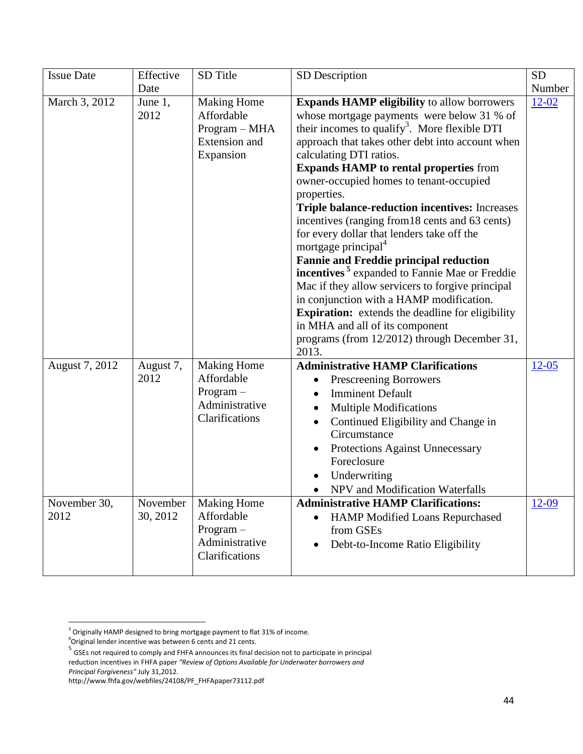| <b>Issue Date</b>    | Effective<br>Date    | SD Title                                                                            | SD Description                                                                                                                                                                                                                                                                                                                                                                                                                                                                                                                                                                                                                                                                                                                                                                                                                                                                                                            | <b>SD</b><br>Number |
|----------------------|----------------------|-------------------------------------------------------------------------------------|---------------------------------------------------------------------------------------------------------------------------------------------------------------------------------------------------------------------------------------------------------------------------------------------------------------------------------------------------------------------------------------------------------------------------------------------------------------------------------------------------------------------------------------------------------------------------------------------------------------------------------------------------------------------------------------------------------------------------------------------------------------------------------------------------------------------------------------------------------------------------------------------------------------------------|---------------------|
| March 3, 2012        | June 1,<br>2012      | <b>Making Home</b><br>Affordable<br>Program - MHA<br>Extension and<br>Expansion     | <b>Expands HAMP eligibility</b> to allow borrowers<br>whose mortgage payments were below 31 % of<br>their incomes to qualify <sup>3</sup> . More flexible DTI<br>approach that takes other debt into account when<br>calculating DTI ratios.<br><b>Expands HAMP to rental properties from</b><br>owner-occupied homes to tenant-occupied<br>properties.<br><b>Triple balance-reduction incentives:</b> Increases<br>incentives (ranging from 18 cents and 63 cents)<br>for every dollar that lenders take off the<br>mortgage principal <sup>4</sup><br><b>Fannie and Freddie principal reduction</b><br>incentives <sup>5</sup> expanded to Fannie Mae or Freddie<br>Mac if they allow servicers to forgive principal<br>in conjunction with a HAMP modification.<br><b>Expiration:</b> extends the deadline for eligibility<br>in MHA and all of its component<br>programs (from 12/2012) through December 31,<br>2013. | $12 - 02$           |
| August 7, 2012       | August 7,<br>2012    | <b>Making Home</b><br>Affordable<br>Program-<br>Administrative<br>Clarifications    | <b>Administrative HAMP Clarifications</b><br>Prescreening Borrowers<br>٠<br><b>Imminent Default</b><br>$\bullet$<br><b>Multiple Modifications</b><br>$\bullet$<br>Continued Eligibility and Change in<br>$\bullet$<br>Circumstance<br>Protections Against Unnecessary<br>Foreclosure<br>Underwriting<br>NPV and Modification Waterfalls                                                                                                                                                                                                                                                                                                                                                                                                                                                                                                                                                                                   | $12 - 05$           |
| November 30,<br>2012 | November<br>30, 2012 | <b>Making Home</b><br>Affordable<br>$Program -$<br>Administrative<br>Clarifications | <b>Administrative HAMP Clarifications:</b><br><b>HAMP Modified Loans Repurchased</b><br>$\bullet$<br>from GSEs<br>Debt-to-Income Ratio Eligibility<br>$\bullet$                                                                                                                                                                                                                                                                                                                                                                                                                                                                                                                                                                                                                                                                                                                                                           | 12-09               |

l <sup>3</sup> Originally HAMP designed to bring mortgage payment to flat 31% of income.

<sup>4</sup>Original lender incentive was between 6 cents and 21 cents.

<sup>&</sup>lt;sup>5</sup> GSEs not required to comply and FHFA announces its final decision not to participate in principal reduction incentives in FHFA paper *"Review of Options Available for Underwater borrowers and Principal Forgiveness"* July 31,2012.

http://www.fhfa.gov/webfiles/24108/PF\_FHFApaper73112.pdf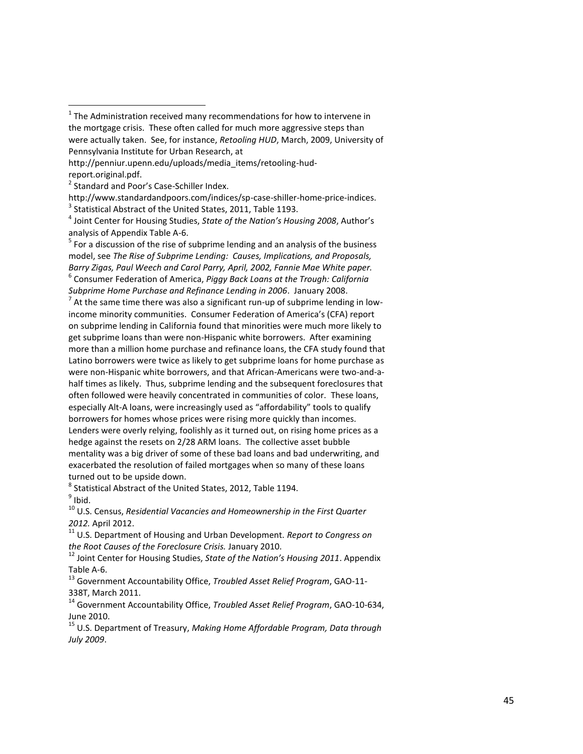$<sup>5</sup>$  For a discussion of the rise of subprime lending and an analysis of the business</sup> model, see *The Rise of Subprime Lending: Causes, Implications, and Proposals, Barry Zigas, Paul Weech and Carol Parry, April, 2002, Fannie Mae White paper.* 6 Consumer Federation of America, *Piggy Back Loans at the Trough: California Subprime Home Purchase and Refinance Lending in 2006*. January 2008.

 $^7$  At the same time there was also a significant run-up of subprime lending in lowincome minority communities. Consumer Federation of America's (CFA) report on subprime lending in California found that minorities were much more likely to get subprime loans than were non-Hispanic white borrowers. After examining more than a million home purchase and refinance loans, the CFA study found that Latino borrowers were twice as likely to get subprime loans for home purchase as were non-Hispanic white borrowers, and that African-Americans were two-and-ahalf times as likely. Thus, subprime lending and the subsequent foreclosures that often followed were heavily concentrated in communities of color. These loans, especially Alt-A loans, were increasingly used as "affordability" tools to qualify borrowers for homes whose prices were rising more quickly than incomes. Lenders were overly relying, foolishly as it turned out, on rising home prices as a hedge against the resets on 2/28 ARM loans. The collective asset bubble mentality was a big driver of some of these bad loans and bad underwriting, and exacerbated the resolution of failed mortgages when so many of these loans turned out to be upside down.

 $^8$  Statistical Abstract of the United States, 2012, Table 1194.

<sup>9</sup> Ibid.

 $\overline{\phantom{a}}$ 

<sup>10</sup> U.S. Census, *Residential Vacancies and Homeownership in the First Quarter 2012.* April 2012.

<sup>11</sup> U.S. Department of Housing and Urban Development. *Report to Congress on the Root Causes of the Foreclosure Crisis.* January 2010.

<sup>12</sup> Joint Center for Housing Studies, *State of the Nation's Housing 2011*. Appendix Table A-6.

<sup>13</sup> Government Accountability Office, *Troubled Asset Relief Program*, GAO-11- 338T, March 2011.

<sup>14</sup> Government Accountability Office, *Troubled Asset Relief Program*, GAO-10-634, June 2010.

<sup>15</sup> U.S. Department of Treasury, *Making Home Affordable Program, Data through July 2009*.

 $1$  The Administration received many recommendations for how to intervene in the mortgage crisis. These often called for much more aggressive steps than were actually taken. See, for instance, *Retooling HUD*, March, 2009, University of Pennsylvania Institute for Urban Research, at

http://penniur.upenn.edu/uploads/media\_items/retooling-hudreport.original.pdf.

<sup>&</sup>lt;sup>2</sup> Standard and Poor's Case-Schiller Index.

http://www.standardandpoors.com/indices/sp-case-shiller-home-price-indices.

 $3$  Statistical Abstract of the United States, 2011, Table 1193.

<sup>4</sup> Joint Center for Housing Studies, *State of the Nation's Housing 2008*, Author's analysis of Appendix Table A-6.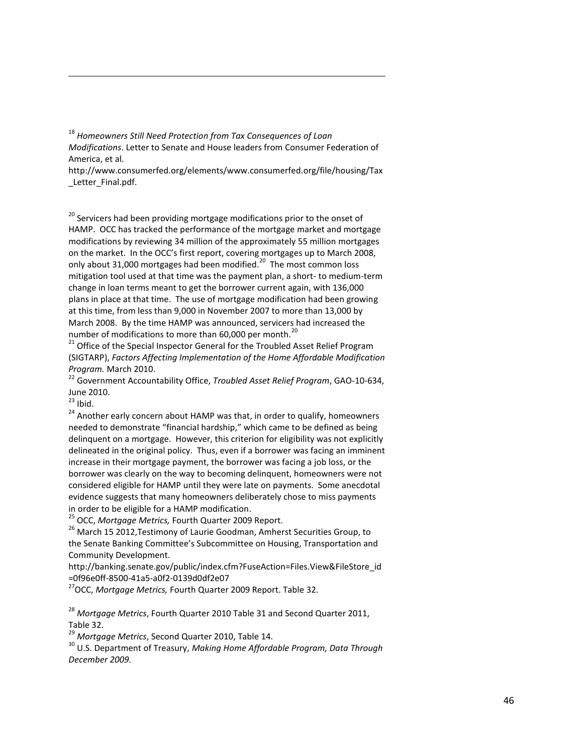<sup>18</sup> *Homeowners Still Need Protection from Tax Consequences of Loan Modifications*. Letter to Senate and House leaders from Consumer Federation of America, et al.

http://www.consumerfed.org/elements/www.consumerfed.org/file/housing/Tax Letter Final.pdf.

 $20$  Servicers had been providing mortgage modifications prior to the onset of HAMP. OCC has tracked the performance of the mortgage market and mortgage modifications by reviewing 34 million of the approximately 55 million mortgages on the market. In the OCC's first report, covering mortgages up to March 2008, only about 31,000 mortgages had been modified.<sup>20</sup> The most common loss mitigation tool used at that time was the payment plan, a short- to medium-term change in loan terms meant to get the borrower current again, with 136,000 plans in place at that time. The use of mortgage modification had been growing at this time, from less than 9,000 in November 2007 to more than 13,000 by March 2008. By the time HAMP was announced, servicers had increased the number of modifications to more than 60,000 per month.<sup>20</sup>

<sup>21</sup> Office of the Special Inspector General for the Troubled Asset Relief Program (SIGTARP), *Factors Affecting Implementation of the Home Affordable Modification Program.* March 2010.

<sup>22</sup> Government Accountability Office, *Troubled Asset Relief Program*, GAO-10-634, June 2010.

 $^{23}$  Ibid.

 $\overline{\phantom{a}}$ 

<sup>24</sup> Another early concern about HAMP was that, in order to qualify, homeowners needed to demonstrate "financial hardship," which came to be defined as being delinquent on a mortgage. However, this criterion for eligibility was not explicitly delineated in the original policy. Thus, even if a borrower was facing an imminent increase in their mortgage payment, the borrower was facing a job loss, or the borrower was clearly on the way to becoming delinquent, homeowners were not considered eligible for HAMP until they were late on payments. Some anecdotal evidence suggests that many homeowners deliberately chose to miss payments in order to be eligible for a HAMP modification.

<sup>25</sup> OCC, *Mortgage Metrics,* Fourth Quarter 2009 Report.

<sup>26</sup> March 15 2012, Testimony of Laurie Goodman, Amherst Securities Group, to the Senate Banking Committee's Subcommittee on Housing, Transportation and Community Development.

http://banking.senate.gov/public/index.cfm?FuseAction=Files.View&FileStore\_id =0f96e0ff-8500-41a5-a0f2-0139d0df2e07

<sup>27</sup>OCC, *Mortgage Metrics,* Fourth Quarter 2009 Report. Table 32.

<sup>28</sup> *Mortgage Metrics*, Fourth Quarter 2010 Table 31 and Second Quarter 2011, Table 32.

<sup>29</sup> *Mortgage Metrics*, Second Quarter 2010, Table 14.

<sup>30</sup> U.S. Department of Treasury, *Making Home Affordable Program, Data Through December 2009.*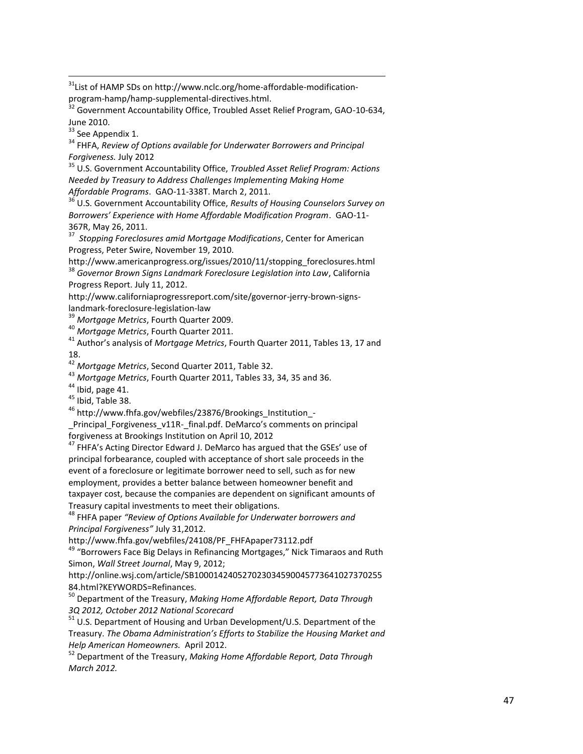<sup>31</sup>List of HAMP SDs on http://www.nclc.org/home-affordable-modificationprogram -hamp/hamp -supplemental -directives.html.

 $32$  Government Accountability Office, Troubled Asset Relief Program, GAO-10-634, June 2010 .

<sup>33</sup> See Appendix 1.

 $\overline{\phantom{a}}$ 

<sup>34</sup> FHFA, *Review of Options available for Underwater Borrowers and Principal Forgiveness.* July 2012

<sup>35</sup> U.S. Government Accountability Office, *Troubled Asset Relief Program: Actions Needed by Treasury to Address Challenges Implementing Making Home Affordable Programs* . GAO -11 -338T. March 2, 2011.

<sup>36</sup> U.S. Government Accountability Office, *Results of Housing Counselors Survey on Borrowers' Experience with Home Affordable Modification Program*. GAO -11 - 367R, May 26, 2011.

37 *Stopping Foreclosures amid Mortgage Modifications*, Center for American Progress, Peter Swire, November 19, 2010.

http://www.americanprogress.org/issues/2010/11/stopping\_foreclosures.html <sup>38</sup> *Governor Brown Signs Landmark Foreclosure Legislation into Law*, California Progress Report. July 11, 2012.

http://www.californiaprogressreport.com/site/governor -jerry -brown -signs landmark -foreclosure -legislation -law

<sup>39</sup> *Mortgage Metrics*, Fourth Quarter 2009.

<sup>40</sup> *Mortgage Metrics*, Fourth Quarter 2011.

<sup>41</sup> Author's analysis of *Mortgage Metrics*, Fourth Quarter 2011, Tables 13, 17 and 18.

<sup>42</sup> *Mortgage Metrics*, Second Quarter 2011, Table 32.

<sup>43</sup> *Mortgage Metrics*, Fourth Quarter 2011, Tables 33, 34, 35 and 36.

 $44$  Ibid, page 41.

<sup>45</sup> Ibid, Table 38.

<sup>46</sup> http://www.fhfa.gov/webfiles/23876/Brookings\_Institution\_-

\_Principal\_Forgiveness\_v11R -\_final.pdf. DeMarco's comments on principal forgiveness at Brookings Institution on April 10, 2012

<sup>47</sup> FHFA's Acting Director Edward J. DeMarco has argued that the GSEs' use of principal forbearance, coupled with acceptance of short sale proceeds in the event of a foreclosure or legitimate borrower need to sell, such as for new employment, provides a better balance between homeowner benefit and<br>taxpayer cost, because the companies are dependent on significant amounts of Treasury capital investments to meet their obligations.

<sup>48</sup> FHFA paper *"Review of Options Available for Underwater borrowers and Principal Forgiveness "* July 31,2012.

http://www.fhfa.gov/webfiles/24108/PF\_FHFApaper73112.pdf

<sup>49</sup> "Borrowers Face Big Delays in Refinancing Mortgages," Nick Timaraos and Ruth Simon, *Wall Street Journal*, May 9, 2012;

http://online.wsj.com/article/SB100014240527023034590045773641027370255 84.html?KEYWORDS=Refinances.

<sup>50</sup> Department of the Treasury, *Making Home Affordable Report, Data Through 3Q 2012, October 2012 National Scorecard*

<sup>51</sup> U.S. Department of Housing and Urban Development/U.S. Department of the Treasury. *The Obama Administration's Efforts to Stabilize the Housing Market and Help American Homeowners.* April 2012.

<sup>52</sup> Department of the Treasury, *Making Home Affordable Report, Data Through March 2012.*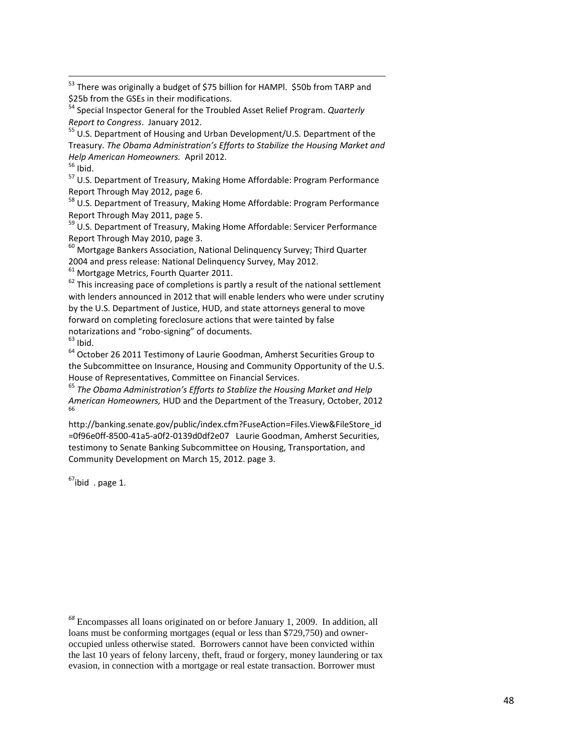<sup>53</sup> There was originally a budget of \$75 billion for HAMPl. \$50b from TARP and \$25b from the GSEs in their modifications.

<sup>54</sup> Special Inspector General for the Troubled Asset Relief Program. *Quarterly Report to Congress*. January 2012.

<sup>55</sup> U.S. Department of Housing and Urban Development/U.S. Department of the Treasury. *The Obama Administration's Efforts to Stabilize the Housing Market and Help American Homeowners.* April 2012.

 $56$  Ibid.

 $\overline{\phantom{a}}$ 

<sup>57</sup> U.S. Department of Treasury, Making Home Affordable: Program Performance Report Through May 2012, page 6.

<sup>58</sup> U.S. Department of Treasury, Making Home Affordable: Program Performance Report Through May 2011, page 5.

<sup>59</sup> U.S. Department of Treasury, Making Home Affordable: Servicer Performance Report Through May 2010, page 3.

 $60$  Mortgage Bankers Association, National Delinguency Survey; Third Quarter 2004 and press release: National Delinquency Survey, May 2012.

<sup>61</sup> Mortgage Metrics, Fourth Quarter 2011.

 $62$  This increasing pace of completions is partly a result of the national settlement with lenders announced in 2012 that will enable lenders who were under scrutiny by the U.S. Department of Justice, HUD, and state attorneys general to move forward on completing foreclosure actions that were tainted by false notarizations and "robo-signing" of documents.

 $63$  Ibid.

<sup>64</sup> October 26 2011 Testimony of Laurie Goodman, Amherst Securities Group to the Subcommittee on Insurance, Housing and Community Opportunity of the U.S. House of Representatives, Committee on Financial Services.

<sup>65</sup> *The Obama Administration's Efforts to Stablize the Housing Market and Help American Homeowners,* HUD and the Department of the Treasury, October, 2012 66

http://banking.senate.gov/public/index.cfm?FuseAction=Files.View&FileStore\_id =0f96e0ff-8500-41a5-a0f2-0139d0df2e07 Laurie Goodman, Amherst Securities, testimony to Senate Banking Subcommittee on Housing, Transportation, and Community Development on March 15, 2012. page 3.

 $67$ ibid . page 1.

*<sup>68</sup>* Encompasses all loans originated on or before January 1, 2009. In addition, all loans must be conforming mortgages (equal or less than \$729,750) and owneroccupied unless otherwise stated. Borrowers cannot have been convicted within the last 10 years of felony larceny, theft, fraud or forgery, money laundering or tax evasion, in connection with a mortgage or real estate transaction. Borrower must